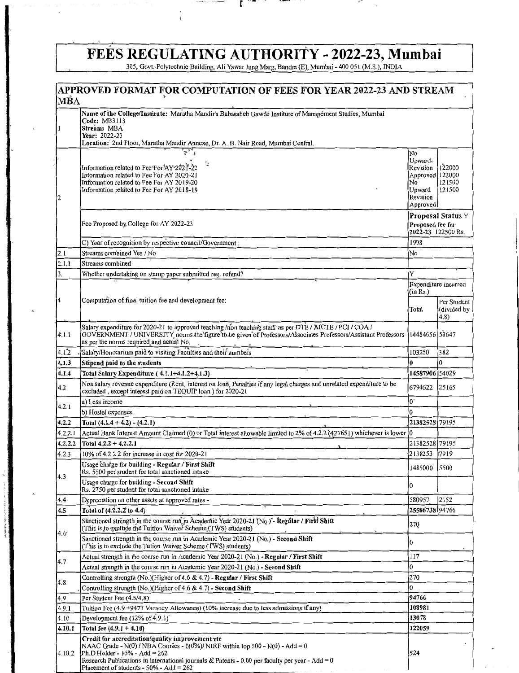# FEÉS REGULATING AUTHORITY - 2022-23, Mumbai 305, Govt.-Polytechnic Building, Ali Yawar Jung Marg, Bandra (E), Mumbai - 400 051 (M.S.), INDIA

 $\mathbf{L}$ 

the company of the company of

|               | APPROVED FORMAT FOR COMPUTATION OF FEES FOR YEAR 2022-23 AND STREAM                                                                                                                                                                                                                                                      |                                                                                                    |                                                    |
|---------------|--------------------------------------------------------------------------------------------------------------------------------------------------------------------------------------------------------------------------------------------------------------------------------------------------------------------------|----------------------------------------------------------------------------------------------------|----------------------------------------------------|
| MBA           |                                                                                                                                                                                                                                                                                                                          |                                                                                                    |                                                    |
|               | Name of the College/Institute: Maratha Mandir's Babasaheb Gawde Institute of Management Studies, Mumbai<br>Code: MB3113<br>Stream: MBA<br>Year: 2022-23<br>Location: 2nd Floor, Maratha Mandir Annexe, Dr. A. B. Nair Road, Mumbai Central.                                                                              |                                                                                                    |                                                    |
|               | $\overline{\mathbb{F}_q^{\times}}$<br>Information related to Fee For AY 2021-22<br>Information related to Fee For AY 2020-21<br>Information related to Fee For AY 2019-20<br>Information related to Fee For AY 2018-19                                                                                                   | No.<br>Upward <sub>s</sub><br>Revision<br>Approved 122000<br>No.<br>Upward<br>Revision<br>Approved | 122000<br>121500<br>121500                         |
|               | Fee Proposed by College for AY 2022-23                                                                                                                                                                                                                                                                                   | Proposed fee for<br>2022-23 122500 Rs.                                                             | Proposal Status Y                                  |
|               | C) Year of recognition by respective council/Government :                                                                                                                                                                                                                                                                | 1998                                                                                               |                                                    |
| 2.1           | Streams combined Yes / No                                                                                                                                                                                                                                                                                                | No                                                                                                 |                                                    |
| 2.1.1         | Streams combined                                                                                                                                                                                                                                                                                                         |                                                                                                    |                                                    |
| 3.            | Whether undertaking on stamp paper submitted reg. refund?                                                                                                                                                                                                                                                                | Y                                                                                                  |                                                    |
|               | Computation of final tuition fee and development fee:                                                                                                                                                                                                                                                                    | (in Rs.)<br>Total                                                                                  | Expenditure incurred<br>Per Student<br>(divided by |
|               |                                                                                                                                                                                                                                                                                                                          |                                                                                                    | (4.8)                                              |
| 4.1.1         | Salary expenditure for 2020-21 to approved teaching /non teaching staff. as per DTE / AICTE / PCI / COA /<br>GOVERNMENT / UNIVERSITY norms the figure to be given of Professors/Associates Professors/Assistant Professors<br>as per the norms required and actual No.                                                   | 14484656 53647                                                                                     |                                                    |
| 4.1.2         | Salary/Honorarium paid to visiting Faculties and their numbers                                                                                                                                                                                                                                                           | 103250                                                                                             | 382                                                |
| 4.1.3         | Stipend paid to the students                                                                                                                                                                                                                                                                                             | 0                                                                                                  |                                                    |
| 4.1.4         | Total Salary Expenditure (4.1.1+4.1.2+4.1.3)                                                                                                                                                                                                                                                                             | 14587906 54029                                                                                     |                                                    |
| 4.2           | Non salary revenue expenditure (Rent, Interest on loan, Penalties if any legal charges and unrelated expenditure to be<br>excluded, except interest paid on TEQUIP loan ) for 2020-21                                                                                                                                    | 6794622                                                                                            | 25165                                              |
| 4.2.1         | a) Less income                                                                                                                                                                                                                                                                                                           | $0^{\star}$                                                                                        |                                                    |
|               | b) Hostel expenses,                                                                                                                                                                                                                                                                                                      | $\mathbf 0$                                                                                        |                                                    |
| 4.2.2         | Total $(4.1.4 + 4.2) - (4.2.1)$                                                                                                                                                                                                                                                                                          | 21382528 79195                                                                                     |                                                    |
| 4.2.2.1       | Actual Bank Interest Amount Claimed (0) or Total interest allowable limited to 2% of 4.2.2 (427651) whichever is lower 0                                                                                                                                                                                                 |                                                                                                    |                                                    |
| 4.2.2.2       | Total $4.2.2 + 4.2.2.1$                                                                                                                                                                                                                                                                                                  | 21382528 79195                                                                                     |                                                    |
| 4.2.3         | 10% of 4.2.2.2 for increase in cost for 2020-21                                                                                                                                                                                                                                                                          | 2138253                                                                                            | 7919                                               |
| 4.3           | Usage charge for building - Regular / First Shift<br>Rs. 5500 per student for total sanctioned intake                                                                                                                                                                                                                    | 1485000                                                                                            | 5500                                               |
|               | Usage charge for building - Second Shift<br>Rs. 2750 per student for total sanctioned intake                                                                                                                                                                                                                             | 0                                                                                                  |                                                    |
| 4.4           | Depreciation on other assets at approved rates -                                                                                                                                                                                                                                                                         | 580957<br>25586738 94766                                                                           | 2152                                               |
| 4.5           | Total of (4.2.2.2 to 4.4)<br>Sånctioned strength in the course run in Academic Year 2020-21 (No.)"- Regular / First Shift<br>(This is to exclude the Tuition Waiver Scheme (TWS) students)                                                                                                                               | 270                                                                                                |                                                    |
| $4.6^{\circ}$ | Sanctioned strength in the course run in Academic Year 2020-21 (No.) - Second Shift<br>(This is to exclude the Tution Waiver Scheme (TWS) students)                                                                                                                                                                      | $\bf{0}$                                                                                           |                                                    |
|               | Actual strength in the course run in Academic Year 2020-21 (No.) - Regular / First Shift                                                                                                                                                                                                                                 | 117                                                                                                |                                                    |
| 4.7           | Actual strength in the course run in Academic Year 2020-21 (No.) - Second Shift                                                                                                                                                                                                                                          | $\mathbf{0}$                                                                                       |                                                    |
|               | Controlling strength (No.)(Higher of 4.6 & 4.7) - Regular / First Shift                                                                                                                                                                                                                                                  | 270                                                                                                |                                                    |
| 4.8           | Controlling strength (No.)(Higher of 4.6 & 4.7) - Second Shift                                                                                                                                                                                                                                                           | 0                                                                                                  |                                                    |
| 4.9           | Per Student Fee (4.5/4,8)                                                                                                                                                                                                                                                                                                | 94766                                                                                              |                                                    |
| 4.9.1         | Tuition Fee (4.9 +9477 Vacancy Allowance) (10% increase due to less admissions if any)                                                                                                                                                                                                                                   | 108981                                                                                             |                                                    |
| 4.10          | Development fee $(12\% \text{ of } \mathring{4}$ .9.1)                                                                                                                                                                                                                                                                   | 13078                                                                                              |                                                    |
| 4.10.1        | Total fee $(4.9.1 + 4.10)$                                                                                                                                                                                                                                                                                               | 122059                                                                                             |                                                    |
| 4.10.2        | Credit for accreditation/quality improvement etc<br>NAAC Grade - N(0) / NBA Courses - 0(0%)/ NIRF within top 500 - N(0) - Add = 0<br>Ph.D Holder - $15\%$ - Add = 262<br>Research Publications in international journals & Patents - 0.00 per faculty per year - Add = 0<br>Placement of students - $50\%$ - Add = $262$ | 524                                                                                                |                                                    |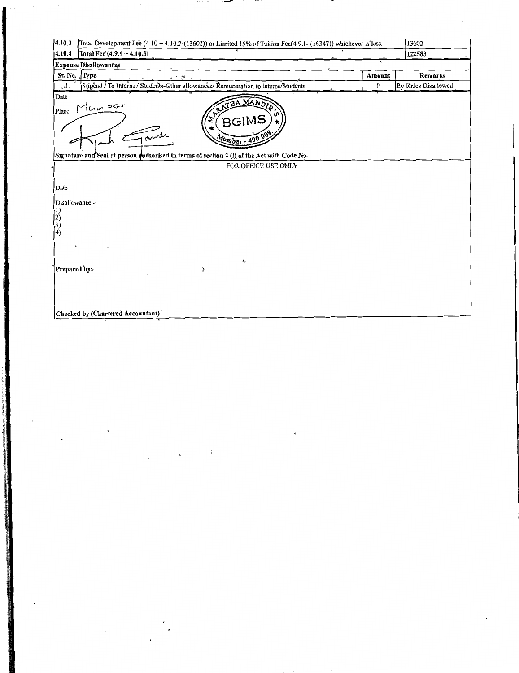| 4.10.3<br>Total Development Fee (4.10 + 4.10.2-(13602)) or Limited 15% of Tuition Fee(4.9.1- (16347)) whichever is less. |                  | 13602               |
|--------------------------------------------------------------------------------------------------------------------------|------------------|---------------------|
| 4.10.4<br>Total Fee $(4.9.1 + 4.10.3)$                                                                                   |                  | 122583              |
| <b>Expense Disallowances</b>                                                                                             |                  |                     |
| Sr. No. Type<br>みき 調べる                                                                                                   | Amount           | Remarks             |
| Stipend / To Interns / Students-Other allowances/ Remuneration to interns/Students<br>$\mathbf{1}_{\mathbf{a}}$          | $\boldsymbol{0}$ | By Rules Disallowed |
| Date<br>ANTHAMANDIA<br>Place Mumbou<br><b>UP</b><br><b>BGIMS</b><br>Tande<br>Mumbai - 400 008                            |                  |                     |
| Signature and Seal of person authorised in terms of section 2 (1) of the Act with Code No.<br>FOR OFFICE USE ONLY        |                  |                     |
| Date                                                                                                                     |                  |                     |
| Disallowance:-<br>$\begin{bmatrix} 1 \\ 2 \\ 3 \\ 4 \end{bmatrix}$                                                       |                  |                     |
| $\mathbf{z}_n$<br>Prepared by:<br>$\blacktriangleright$                                                                  |                  |                     |
| Checked by (Chartered Accountant)                                                                                        |                  |                     |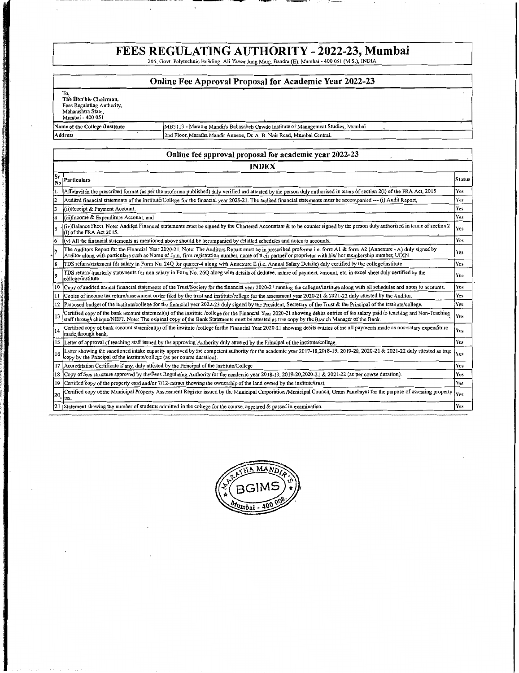## FEES REGULATING AUTHORITY - 2022-23, Mumbai<br>305, Govt. Polytechnic Building, Ali Yawar Jung Marg, Bandra (E), Mumbai - 400 051 (M.S.), INDIA

-------------- ,., \_\_

~mh ~-

11 'is the most complete that the con-

**Service Communications** 

I

' f ter france<br>til the property of

|           |                                                                                                      | Online Fee Approval Proposal for Academic Year 2022-23                                                                                                                                                                                                                                                                         |               |
|-----------|------------------------------------------------------------------------------------------------------|--------------------------------------------------------------------------------------------------------------------------------------------------------------------------------------------------------------------------------------------------------------------------------------------------------------------------------|---------------|
|           |                                                                                                      |                                                                                                                                                                                                                                                                                                                                |               |
|           | To.<br>The Hon'ble Chairman,<br>Fees Regulating Authority,<br>Maharashtra State,<br>Mumbai - 400 051 |                                                                                                                                                                                                                                                                                                                                |               |
|           | Name of the College /Institute                                                                       | MB3113 - Maratha Mandir's Babasaheb Gawde Institute of Management Studies, Mumbai                                                                                                                                                                                                                                              |               |
|           | <b>Address</b>                                                                                       | 2nd Floor, Maratha Mandir Annexe, Dr. A. B. Nair Road, Mumbai Central.                                                                                                                                                                                                                                                         |               |
|           |                                                                                                      |                                                                                                                                                                                                                                                                                                                                |               |
|           |                                                                                                      | Online fee approval proposal for academic year 2022-23                                                                                                                                                                                                                                                                         |               |
|           |                                                                                                      | <b>INDEX</b>                                                                                                                                                                                                                                                                                                                   |               |
| ۱Šr<br>No | Particulars                                                                                          |                                                                                                                                                                                                                                                                                                                                | <b>Status</b> |
|           |                                                                                                      | Affidavit in the prescribed format (as per the proforma published) duly verified and attested by the person duly authorised in terms of section 2(I) of the FRA Act, 2015                                                                                                                                                      | <b>Yes</b>    |
| l2        |                                                                                                      | Audited financial statements of the Institute/College for the financial year 2020-21. The audited financial statements must be accompanied --- (i) Audit Report,                                                                                                                                                               | Yes           |
| l3        | (ii)Receipt & Payment Account,                                                                       |                                                                                                                                                                                                                                                                                                                                | <b>Yes</b>    |
|           | (iii)Income & Expenditure Account, and                                                               |                                                                                                                                                                                                                                                                                                                                | <b>Yes</b>    |
|           | (1) of the FRA Act 2015.                                                                             | (iv)Balance Sheet. Note: Audifed Financial statements must be signed by the Chartered Accountant & to be counter signed by the person duly authorised in terms of section 2                                                                                                                                                    | Yes           |
|           |                                                                                                      | (y) All the financial statements as mentioned above should be accompanied by detailed schedules and notes to accounts.                                                                                                                                                                                                         | <b>Yes</b>    |
|           |                                                                                                      | The Auditors Report for the Financial Year 2020-21. Note: The Auditors Report must be in prescribed proforma i.e. form A1 & form A2 (Annexure - A) duly signed by<br>Auditor along with particulars such as Name of firm, firm registration number, name of their partner or proprietor with his/ her membership number, UDIN. | Yes           |
| 18        |                                                                                                      | TDS return/statement for salary in Form No. 24Q for quarter-4 along with Annexure II (i.e. Annual Salary Details) duly certified by the college/institute                                                                                                                                                                      | Yes           |
|           | cóllege/institute                                                                                    | TDS return/ quarterly statements for non-salary in Form No. 26Q along with details of dedutee, nature of payment, amount, etc, in excel sheet duly certified by the                                                                                                                                                            | Yes           |
| 10        |                                                                                                      | Copy of audited annual financial statements of the Trust/Society for the financial year 2020-21 running the colleges/institute along with all schedules and notes to accounts.                                                                                                                                                 | Yes           |
| 11        |                                                                                                      | Copies of income tax return/assessment order filed by the trust and institute/college for the assessment year 2020-21 & 2021-22 duly attested by the Auditor.                                                                                                                                                                  | Yes           |
| 12        |                                                                                                      | Proposed budget of the institute/college for the financial year 2022-23 duly signed by the President, Secretary of the Trust & the Principal of the institute/college.                                                                                                                                                         | Yes           |
| 13        |                                                                                                      | Certified copy of the bank account statement(s) of the institute /college for the Financial Year 2020-21 showing debits entries of the salary paid to teaching and Non-Teaching<br>staff through cheque/NEFT. Note: The original copy of the Bank Statements must be attested as true copy by the Branch Manager of the Bank.  | Yes           |
| 14        | made through bank.                                                                                   | Certified copy of bank account statement(s) of the institute /college forthe Financial Year 2020-21 showing debits entries of the all payments made as non-salary expenditure                                                                                                                                                  | <b>Yes</b>    |
| 15        |                                                                                                      | Letter of approval of teaching staff issued by the approving Authority duly attested by the Principal of the institute/college.                                                                                                                                                                                                | <b>Yes</b>    |
| 16        | copy by the Principal of the institute/college (as per course duration).                             | Letter showing the sanctioned intake capacity approved by the competent authority for the academic year 2017-18,2018-19, 2019-20, 2020-21 & 2021-22 duly attested as true                                                                                                                                                      | Yes.          |
| 17        | Accreditation Certificate if any, duly attested by the Principal of the Institute/College            |                                                                                                                                                                                                                                                                                                                                | Yes           |
| 18        |                                                                                                      | Copy of fees structure approved by the Fees Regulating Authority for the academic year 2018-19, 2019-20,2020-21 & 2021-22 (as per course duration).                                                                                                                                                                            | Yes           |
| 19        |                                                                                                      | Certified copy of the property card and/or 7/12 extract showing the ownership of the land owned by the institute/trust.                                                                                                                                                                                                        | Yes           |
| 120       | tax.                                                                                                 | Certified copy of the Municipal Property Assessment Register issued by the Municipal Corporation /Municipal Council, Gram Panchayat for the purpose of assessing property                                                                                                                                                      | Yes           |
| 121       |                                                                                                      | Statement showing the number of students admitted in the college for the course, appeared & passed in examination.                                                                                                                                                                                                             | Yes           |



--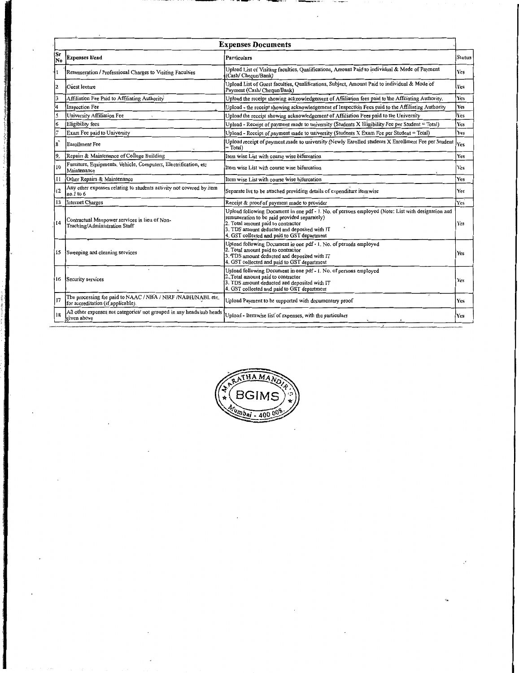|                 |                                                                                                    | <b>Expenses Documents</b>                                                                                                                                                                                                                                                               |               |
|-----------------|----------------------------------------------------------------------------------------------------|-----------------------------------------------------------------------------------------------------------------------------------------------------------------------------------------------------------------------------------------------------------------------------------------|---------------|
| Sr<br> No       | <b>Expenses Head</b>                                                                               | Particulars                                                                                                                                                                                                                                                                             | <b>Status</b> |
|                 | Remuneration / Professional Charges to Visiting Faculties                                          | Upload List of Visiting faculties, Qualifications, Amount Paid to individual & Mode of Payment<br>(Cash/Cheque/Bank)                                                                                                                                                                    | Yes           |
| l2              | Guest lecture                                                                                      | Upload List of Guest faculties, Qualifications, Subject, Amount Paid to individual & Mode of<br>Payment (Cash/ Cheque/Bank)                                                                                                                                                             | Yes           |
| 3               | Affiliation Fee Paid to Affiliating Authority                                                      | Upload the receipt showing acknowledgement of Affiliation fees paid to the Affiliating Authority.                                                                                                                                                                                       | <b>Yes</b>    |
| l4              | <b>Inspection Fee</b>                                                                              | Upload - the receipt showing acknowledgement of Inspection Fees paid to the Affiliating Authority                                                                                                                                                                                       | Yes           |
| l5              | University Affiliation Fee                                                                         | Upload the receipt showing acknowledgement of Affiliation Fees paid to the University                                                                                                                                                                                                   | Yes           |
| 6               | Eligibility fees                                                                                   | Upload - Receipt of payment made to university (Students X Eligibility Fee per Student = Total)                                                                                                                                                                                         | Yes           |
| 17              | Exam Fee paid to University                                                                        | Upload - Receipt of payment made to university (Students X Exam Fee per Student = Total)                                                                                                                                                                                                | Yes           |
| 8               | <b>Enrollment</b> Fee                                                                              | Upload receipt of payment made to university (Newly Enrolled students X Enrollment Fee per Student<br>$= Total$                                                                                                                                                                         | Yes           |
| 9,              | Repairs & Maintenance of College Building                                                          | Item wise List with course wise bifurcation                                                                                                                                                                                                                                             | Yes           |
| 10              | Furniture, Equipments, Vehicle, Computers, Electrification, etc<br>Maintenance                     | Item wise List with course wise bifurcation                                                                                                                                                                                                                                             | Yes           |
| 11              | Other Repairs & Maintenance                                                                        | Item wise List with course wise bifurcation                                                                                                                                                                                                                                             | Yes           |
| 12              | Any other expenses relating to students activity not covered by item<br>$no.1$ to $6$              | Separate list to be attached providing details of expenditure itemwise                                                                                                                                                                                                                  | Yes           |
| 13              | Internet Charges                                                                                   | Receipt & proof of payment made to provider                                                                                                                                                                                                                                             | Yes           |
| 14              | Contractual Manpower services in lieu of Non-<br>Teaching/Administration Staff                     | Upload following Document in one pdf - 1. No. of persons employed (Note: List with designation and<br>remuneration to be paid provided separately)<br>2. Total amount paid to contractor<br>3. TDS amount deducted and deposited with IT<br>4. GST collected and paid to GST department | Yes           |
| 15              | Sweeping and cleaning services                                                                     | Upload following Document in one pdf - 1. No. of persons employed<br>2. Total amount paid to contractor<br>3. TDS amount deducted and deposited with IT<br>4. GST collected and paid to GST department                                                                                  | Yes           |
|                 | 16 Security services                                                                               | Upload following Document in one pdf - 1. No. of persons employed<br>2. Total amount paid to contractor<br>3. TDS amount deducted and deposited with IT<br>4. GST collected and paid to GST department                                                                                  | Yes           |
| $\overline{17}$ | The processing fee paid to NAAC / NBA / NIRF /NABH/NABL etc.<br>for accreditation (if applicable). | Upload Payment to be supported with documentary proof                                                                                                                                                                                                                                   | Yes           |
| 18              | All other expenses not categories/ not grouped in any heads/sub heads<br>given above               | Upload - Itemwise list of expenses, with the particulars                                                                                                                                                                                                                                | Yes           |
|                 |                                                                                                    |                                                                                                                                                                                                                                                                                         |               |

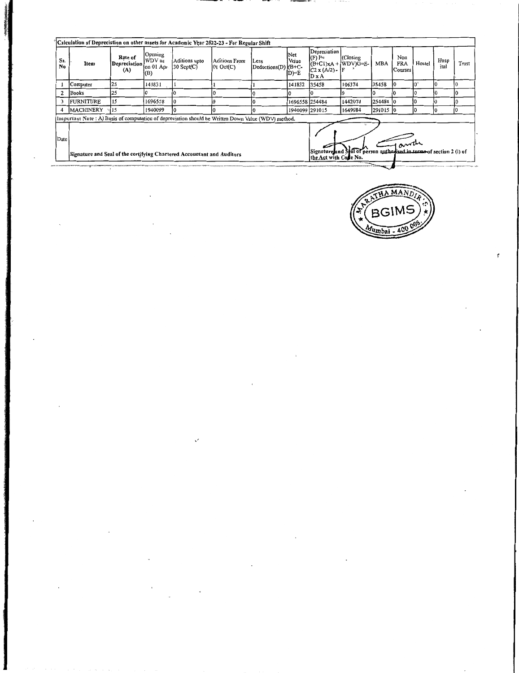|           | Calculation of Depreciation on other assets for Academic Year 2022-23 - For Regular Shift                                                                                                                                                                                      |                                |                                       |                                  |                                        |                                    |                        |                                                                              |           |            |                                           |        |              |       |
|-----------|--------------------------------------------------------------------------------------------------------------------------------------------------------------------------------------------------------------------------------------------------------------------------------|--------------------------------|---------------------------------------|----------------------------------|----------------------------------------|------------------------------------|------------------------|------------------------------------------------------------------------------|-----------|------------|-------------------------------------------|--------|--------------|-------|
| Sr.<br>No | Item                                                                                                                                                                                                                                                                           | Rate of<br>Depreciation<br>(A) | Opening<br>WDV as<br>on 01 Apr<br>(B) | Aditions upto<br>$30$ Sept $(C)$ | Aditions From<br>$ 01 \text{ Oct}(C) $ | <b>Less</b><br>Deductions(D) (B+C- | Net<br>Value<br>$D)=E$ | Depreciation<br>$(F)$ F=<br>$(B+C1)xA + (WDV)G=E$<br>$C2 x (A/2) - F$<br>DxA | (Closing) | <b>MBA</b> | Non<br><b>FRA</b><br>Courses <sup>'</sup> | Hostel | Hosp<br>ital | Trust |
|           | Computer                                                                                                                                                                                                                                                                       | 25                             | 141831                                |                                  |                                        |                                    | 141832                 | 35458                                                                        | 106374    | 35458      |                                           | 10     |              |       |
|           | Books                                                                                                                                                                                                                                                                          | 125                            |                                       |                                  |                                        |                                    |                        |                                                                              |           |            |                                           |        |              |       |
|           | <b>FURNITURE</b>                                                                                                                                                                                                                                                               | . 15                           | 1696558                               |                                  |                                        |                                    | 1696558 254484         |                                                                              | 1442074   | 254484 0   |                                           | I0     |              |       |
|           | <b>MACHINERY</b>                                                                                                                                                                                                                                                               | 115                            | 1940099                               |                                  |                                        |                                    | 1940099 291015         |                                                                              | 1649084   | 291015 0   |                                           | Ю      |              |       |
|           |                                                                                                                                                                                                                                                                                |                                |                                       |                                  |                                        |                                    |                        |                                                                              |           |            |                                           |        |              |       |
| Date      | Imperiant Note : A) Basis of computation of depreciation should be Written Down Value (WDV) method.<br>Signature and Seal of person authorised in terms of section 2 (l) of<br>Signature and Seal of the certifying Chartered Accountant and Auditors<br>the Act with Code No. |                                |                                       |                                  |                                        |                                    |                        |                                                                              |           |            |                                           |        |              |       |
|           |                                                                                                                                                                                                                                                                                |                                |                                       |                                  |                                        |                                    |                        |                                                                              |           |            |                                           |        |              |       |

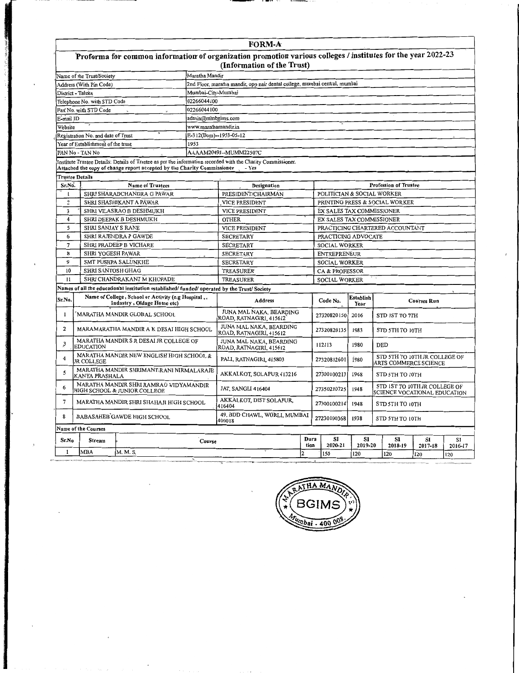#### $\overline{\text{FORM-}A}$

|                                                                                                       |                           | Proforma for common information of organization promotion various colleges / institutes for the year 2022-23<br>(Information of the Trust) |  |  |  |  |  |  |  |
|-------------------------------------------------------------------------------------------------------|---------------------------|--------------------------------------------------------------------------------------------------------------------------------------------|--|--|--|--|--|--|--|
|                                                                                                       | Name of the Trust/Society | Maratha Mandir                                                                                                                             |  |  |  |  |  |  |  |
| 2nd Floor, maratha mandir, onn pair dental college, mumbai central, mumbai<br>Address (With Pin Code) |                           |                                                                                                                                            |  |  |  |  |  |  |  |

| 2nd Floor, maratha mandir, opp nair dental college, mumbai central, mumbai<br>Address (With Pin Code) |                                    |                                                                                           |                        |                                                                                                              |              |                     |                      |                          |                                 |                               |     |  |  |  |  |
|-------------------------------------------------------------------------------------------------------|------------------------------------|-------------------------------------------------------------------------------------------|------------------------|--------------------------------------------------------------------------------------------------------------|--------------|---------------------|----------------------|--------------------------|---------------------------------|-------------------------------|-----|--|--|--|--|
|                                                                                                       | District - Taluka                  |                                                                                           | Mumbai-City-Mumbai     |                                                                                                              |              |                     |                      |                          |                                 |                               |     |  |  |  |  |
|                                                                                                       | Telephone No. with STD Code        |                                                                                           | 02266044100            |                                                                                                              |              |                     |                      |                          |                                 |                               |     |  |  |  |  |
|                                                                                                       | Fax No. with STD Code              | $\ddot{\phantom{a}}$                                                                      | 02266044100            |                                                                                                              |              |                     |                      |                          |                                 |                               |     |  |  |  |  |
| E-mail ID                                                                                             |                                    |                                                                                           | admin@mmbgims.com      |                                                                                                              |              |                     |                      |                          |                                 |                               |     |  |  |  |  |
| Website                                                                                               |                                    |                                                                                           | www.marathamandir.in   |                                                                                                              |              |                     |                      |                          |                                 |                               |     |  |  |  |  |
|                                                                                                       | Registration No. and date of Trust |                                                                                           | E-312(Bom)--1953-05-12 |                                                                                                              |              |                     |                      |                          |                                 |                               |     |  |  |  |  |
|                                                                                                       | Year of Establishment of the trust |                                                                                           | 1953                   |                                                                                                              |              |                     |                      |                          |                                 |                               |     |  |  |  |  |
|                                                                                                       | PAN No - TAN No                    |                                                                                           |                        | AAAAM2049J--MUMM22507C                                                                                       |              |                     |                      |                          |                                 |                               |     |  |  |  |  |
|                                                                                                       |                                    | Attached the copy of change report accepted by the Charity Commissioner _________         |                        | Institute Trustee Details: Details of Trustee as per the information recorded with the Charity Commissioner. |              |                     |                      |                          |                                 |                               |     |  |  |  |  |
|                                                                                                       | <b>Trustee Details</b>             |                                                                                           |                        |                                                                                                              |              |                     |                      |                          |                                 |                               |     |  |  |  |  |
| Sr.No.                                                                                                |                                    | <b>Name of Trustees</b>                                                                   |                        | Designation                                                                                                  |              |                     |                      |                          | <b>Profession of Trustee</b>    |                               |     |  |  |  |  |
| $\mathbf{I}$                                                                                          |                                    | SHRI SHARADCHANDRA G PAWAR                                                                |                        | PRESIDENT/CHAIRMAN                                                                                           |              |                     |                      |                          | POLITICIAN & SOCIAL WORKER      |                               |     |  |  |  |  |
| $\overline{2}$                                                                                        |                                    | SHRI SHASHIKANT A PÅWAR                                                                   |                        | <b>VICE PRESIDENT</b>                                                                                        |              |                     |                      |                          | PRINTING PRESS & SOCIAL WORKER  |                               |     |  |  |  |  |
| $\mathbf{3}$                                                                                          |                                    | SHRI VILASRAO B DESHMUKH                                                                  |                        | <b>VICE PRESIDENT</b>                                                                                        |              |                     |                      |                          | EX SALES TAX COMMISSIONER       |                               |     |  |  |  |  |
| $\overline{4}$                                                                                        |                                    | SHRI DEEPAK B DESHMUKH                                                                    |                        | <b>OTHER</b>                                                                                                 |              |                     |                      |                          | EX SALES TAX COMMISSIONER       |                               |     |  |  |  |  |
| 5                                                                                                     | <b>SHRI SANJAY S RANE</b>          |                                                                                           |                        | <b>VICE PRESIDENT</b>                                                                                        |              |                     |                      |                          | PRACTICING CHARTERED ACCOUNTANT |                               |     |  |  |  |  |
| 6                                                                                                     |                                    | SHRI RAJENDRA P GAWDE                                                                     |                        | <b>SECRETARY</b>                                                                                             |              |                     | PRACTICING ADVOCATE  |                          |                                 |                               |     |  |  |  |  |
| $\tau$                                                                                                |                                    | SHRI PRADEEP B VICHARE                                                                    |                        | <b>SECRETARY</b>                                                                                             |              |                     | <b>SOCIAL WORKER</b> |                          |                                 |                               |     |  |  |  |  |
| 8                                                                                                     | SHRI YOGESH PAWAR                  |                                                                                           |                        | <b>SECRETARY</b>                                                                                             |              | <b>ENTREPRENEUR</b> |                      |                          |                                 |                               |     |  |  |  |  |
| 9                                                                                                     |                                    | <b>SMT PUSHPA SALUNKHE</b>                                                                |                        | <b>SECRETARY</b><br><b>SOCIAL WORKER</b>                                                                     |              |                     |                      |                          |                                 |                               |     |  |  |  |  |
| 10                                                                                                    | <b>SHRI SANTOSH GHAG</b>           |                                                                                           |                        | <b>TREASURER</b><br><b>CA &amp; PROFESSOR</b>                                                                |              |                     |                      |                          |                                 |                               |     |  |  |  |  |
| Ħ                                                                                                     |                                    | SHRI CHANDRAKANT M KHOPADE                                                                |                        | <b>TREASURER</b>                                                                                             |              |                     | <b>SOCIAL WORKER</b> |                          |                                 |                               |     |  |  |  |  |
|                                                                                                       |                                    | Names of all the educational institution established/funded/operated by the Trust/Society |                        |                                                                                                              |              |                     |                      |                          |                                 |                               |     |  |  |  |  |
| Sr.No.                                                                                                |                                    | Name of College, School or Activity (e.g Hospital,<br>Industry, Oldage Home etc)          |                        | <b>Address</b>                                                                                               |              |                     | Code No.             | <b>Establish</b><br>Year |                                 | Courses Run                   |     |  |  |  |  |
| 1                                                                                                     |                                    | MARATHA MANDIR GLOBAL SCHOOL                                                              |                        | JUNA MAL NAKA, BEARDING<br>ROAD, RATNAGIRI, 415612 <sup>°</sup>                                              |              |                     | 27320820150          | 2016                     | STD IST TO 7TH                  |                               |     |  |  |  |  |
| 2                                                                                                     |                                    | MARAMARATHA MANDIR A K DESAI HIGH SCHOOL                                                  |                        | JUNA MAL NAKA, BEARDING<br>ROAD, RATNAGIRI, 415612                                                           |              |                     | 27320820135          | 1983                     | STD 5TH TO IOTH                 |                               |     |  |  |  |  |
| 3                                                                                                     | <b>EDUCATION</b>                   | MARATHA MANDIR S R DESAI JR COLLEGE OF                                                    |                        | JUNA MAL NAKA, BEARDING<br>ROAD, RATNAGIRI, 415612                                                           |              |                     | 112113               | 1980                     | <b>DED</b>                      |                               |     |  |  |  |  |
| 4                                                                                                     | <b>JR COLLEGE</b>                  | MARATHA MANDIR NEW ENGLISH HIGH SCHOOL &                                                  |                        | PALI, RATNAGIRI, 415803                                                                                      |              |                     | 27320812601          | <b>1980</b>              | ARTS COMMERCE SCIENCE           | STD 5TH TO 10TH JR COLLEGE OF |     |  |  |  |  |
| 5                                                                                                     | KANYA PRASHALA                     | MARATHA MANDIR SHRIMANT RANI NIRMALARAJE                                                  |                        | AKKALKOT, SOLAPUR 413216                                                                                     |              |                     | 27300100213          | 1968                     | STD 5TH TO 10TH                 |                               |     |  |  |  |  |
| 6                                                                                                     |                                    | MARATHA MANDIR SHRI RAMRAO VIDYAMANDIR<br>HIGH SCHOOL & JUNIOR COLLEGE                    |                        | <b>JAT, SANGLI 416404</b>                                                                                    |              |                     | 27350210725          | 1948                     | SCIENCE VOCATIONAL EDUCATION    | STD IST TO 10TH JR COLLEGE OF |     |  |  |  |  |
| $\overline{7}$                                                                                        |                                    | MARATHA MANDIR SHRI SHAHAJI HIGH SCHOOL                                                   |                        | AKKALKOT, DIST SOLAPUR.<br>416404                                                                            |              |                     | 27300100214          | 1948                     | STD 5TH TO 10TH                 |                               |     |  |  |  |  |
| 8                                                                                                     |                                    | BABASAHEB GAWDE HIGH SCHOOL                                                               |                        | 49, BDD CHAWL, WORLI, MUMBAI<br>400018                                                                       |              |                     | 27230100368          | 1938                     | STD 5TH TO 10TH                 |                               |     |  |  |  |  |
|                                                                                                       | <b>Name of the Courses</b>         |                                                                                           |                        |                                                                                                              |              |                     |                      |                          |                                 |                               |     |  |  |  |  |
| Sr.No                                                                                                 | Stream                             |                                                                                           | Course                 |                                                                                                              | Dura<br>tion |                     | SI<br>2020-21        | SI<br>2019-20            | Sı<br>2018-19                   | SΙ<br>2017-18                 | SI. |  |  |  |  |
| 1                                                                                                     | MBA                                | M. M. S.                                                                                  |                        | $\overline{2}$                                                                                               |              | 150                 | 120                  | 120                      | <b>I20</b>                      | 2016-17<br>120                |     |  |  |  |  |
|                                                                                                       |                                    |                                                                                           |                        |                                                                                                              |              |                     |                      |                          |                                 |                               |     |  |  |  |  |

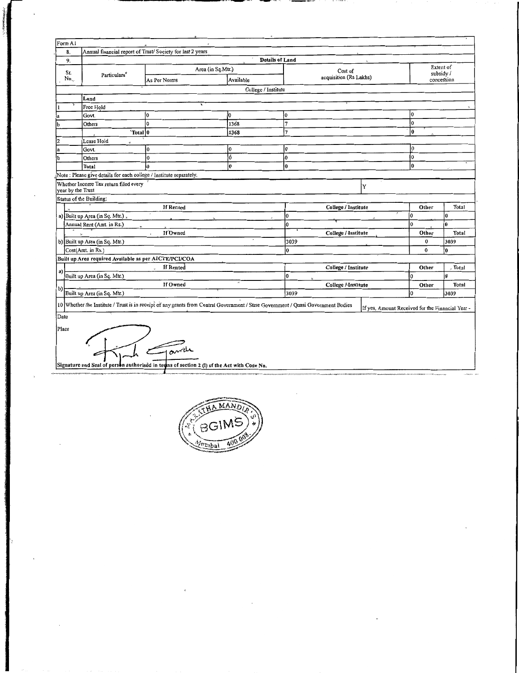| Form A1           |                                                                    |                                                                                                                                   |                        |                        |                                                  |                       |       |  |
|-------------------|--------------------------------------------------------------------|-----------------------------------------------------------------------------------------------------------------------------------|------------------------|------------------------|--------------------------------------------------|-----------------------|-------|--|
| 8.                |                                                                    | Annual financial report of Trust/ Society for last 2 years                                                                        |                        |                        |                                                  |                       |       |  |
| 9.                |                                                                    |                                                                                                                                   | <b>Details of Land</b> |                        |                                                  |                       |       |  |
| Sr.               |                                                                    | Area (in Sq.Mtr.)                                                                                                                 |                        | Cost of                |                                                  | Extent of<br>subsidy/ |       |  |
| No.               | Particulars <sup>*</sup>                                           | As Per Norms                                                                                                                      | Available              | acquisition (Rs Lakhs) |                                                  | concession            |       |  |
|                   |                                                                    |                                                                                                                                   | College / Institute    |                        |                                                  |                       |       |  |
|                   | Land                                                               |                                                                                                                                   |                        |                        |                                                  |                       |       |  |
|                   | Free Hold                                                          |                                                                                                                                   |                        |                        |                                                  |                       |       |  |
|                   | Govt.                                                              | lo                                                                                                                                | l0                     | Ô                      |                                                  | Iо                    |       |  |
| b                 | Others                                                             | l٥                                                                                                                                | 1368                   | $\overline{7}$         |                                                  | lo                    |       |  |
|                   | "Total 0                                                           |                                                                                                                                   | 1368                   | 7                      |                                                  | 0                     |       |  |
| 2                 | Lease Hold                                                         |                                                                                                                                   |                        |                        |                                                  |                       |       |  |
| a                 | Govt.                                                              | Io.                                                                                                                               | 0                      | I٥                     |                                                  | 0                     |       |  |
| łЪ                | Others                                                             | $\overline{0}$                                                                                                                    | đ                      | lo.                    |                                                  | 10                    |       |  |
|                   | Total                                                              | 'n                                                                                                                                | o.                     | l0                     |                                                  | l0                    |       |  |
|                   | Note: Please give details for each college / Institute separately. |                                                                                                                                   |                        |                        |                                                  |                       |       |  |
| year by the Trust | Whether Income Tax return filed every                              |                                                                                                                                   |                        |                        | Y                                                |                       |       |  |
|                   | Status of the Building:                                            |                                                                                                                                   |                        |                        |                                                  |                       |       |  |
|                   |                                                                    | <b>If Rented</b>                                                                                                                  |                        | College / Institute    |                                                  | Other                 | Total |  |
|                   | a) Built up Area (in Sq. Mtr.),                                    |                                                                                                                                   |                        | l0                     |                                                  | l0                    | l0    |  |
|                   | Annual Rent (Amt. in Rs.)                                          |                                                                                                                                   |                        | 0                      |                                                  | 0                     | ø     |  |
|                   |                                                                    | If Owned<br>$\overline{a}$                                                                                                        |                        | College / Institute    |                                                  | Other                 | Total |  |
|                   | b) Built up Area (in Sq. Mtr.)                                     |                                                                                                                                   |                        | 3039                   |                                                  | 0                     | 3039  |  |
|                   | Cost(Amt. in Rs.)                                                  |                                                                                                                                   |                        | ۱O.                    |                                                  | $\Omega$              | l0.   |  |
|                   | Built up Area required Available as per AICTE/PCI/COA              |                                                                                                                                   |                        |                        |                                                  |                       |       |  |
|                   |                                                                    | If Rented                                                                                                                         |                        | College / Institute    |                                                  | Other                 | Total |  |
| a)                | Built up Area (in Sq. Mtr.)                                        |                                                                                                                                   |                        | O                      |                                                  | o                     | İ0    |  |
|                   |                                                                    | If Owned                                                                                                                          |                        | College Mnstitute      |                                                  | Other                 | Total |  |
| b)                | Built up Area (in Sq. Mtr.)                                        |                                                                                                                                   |                        | 3039                   |                                                  | $\Omega$              | 3039  |  |
|                   |                                                                    |                                                                                                                                   |                        |                        |                                                  |                       |       |  |
|                   |                                                                    | 10 Whether the Institute / Trust is in receipt of any grants from Central Government / State Government / Quasi Government Bodies |                        |                        | If yes, Amount Received for the Financial Year - |                       |       |  |
| Date              |                                                                    |                                                                                                                                   |                        |                        |                                                  |                       |       |  |
| Place             |                                                                    |                                                                                                                                   |                        |                        |                                                  |                       |       |  |
|                   |                                                                    | avide<br>Signature and Seal of person authorised in terms of section 2 (I) of the Act with Code No.                               |                        |                        |                                                  |                       |       |  |
|                   |                                                                    |                                                                                                                                   |                        |                        |                                                  |                       |       |  |

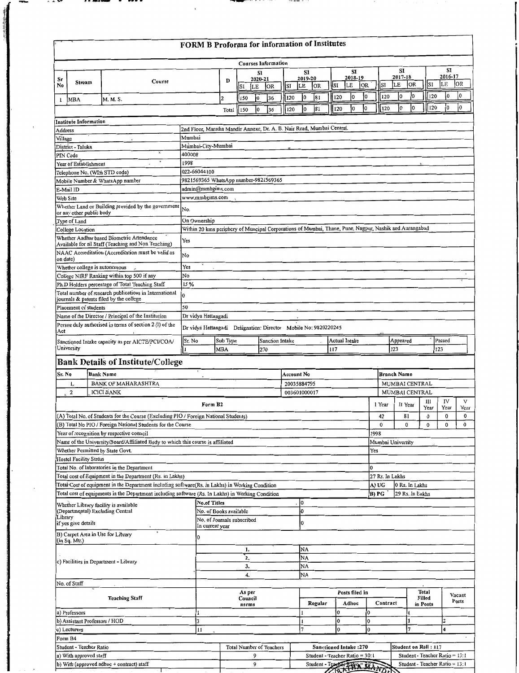|          |                                |                                                                                                                     | FORM B Proforma for information of Institutes                                                          |                        |                            |                     |                                 |              |                     |                                                                |                             |                |                     |           |      |                   |                     |                 |                             |                                |                     |      |
|----------|--------------------------------|---------------------------------------------------------------------------------------------------------------------|--------------------------------------------------------------------------------------------------------|------------------------|----------------------------|---------------------|---------------------------------|--------------|---------------------|----------------------------------------------------------------|-----------------------------|----------------|---------------------|-----------|------|-------------------|---------------------|-----------------|-----------------------------|--------------------------------|---------------------|------|
|          |                                |                                                                                                                     |                                                                                                        |                        |                            |                     | <b>Courses Information</b>      |              |                     |                                                                |                             |                |                     |           |      |                   |                     |                 |                             |                                |                     |      |
| Sr<br>No | Stream                         | Course                                                                                                              |                                                                                                        | D                      | SI                         | SI<br>2020-21<br>LE | OR.                             | SI           | SI<br>2019-20<br>LE | OR                                                             | SI                          |                | SI<br>2018-19<br>LE | <b>OR</b> |      | SI                | SI<br>2017-18<br>lе | OR              | SI                          | LE                             | SI<br>2016-17<br>OR |      |
| 1        | MBA                            | M. M. S.                                                                                                            |                                                                                                        | $\overline{2}$         | 150                        | Iо                  | 36                              | 120          | I0                  | 81                                                             | 120                         |                | 10                  | 0         |      | 120               | l0                  | 10              |                             | l0<br>120                      | 0                   |      |
|          |                                |                                                                                                                     |                                                                                                        | Total                  | 150                        | l0                  | 36                              | 120          | $\mathbf{0}$        | 81                                                             | 120                         |                | 0                   | 10        |      | 120               | 0                   | lo              |                             | l0<br>120                      | l0                  |      |
|          | Institute Information          |                                                                                                                     |                                                                                                        |                        |                            |                     |                                 |              |                     |                                                                |                             |                |                     |           |      |                   |                     |                 |                             |                                |                     |      |
| Address  |                                |                                                                                                                     | 2nd Floor, Maratha Mandir Annexe, Dr. A. B. Nair Road, Mumbai Central.                                 |                        |                            |                     |                                 |              |                     |                                                                |                             |                |                     |           |      |                   |                     |                 |                             |                                |                     |      |
| Village  | District - Taluka              |                                                                                                                     | Mumbai<br>Mumbai-City-Mumbai                                                                           |                        |                            |                     |                                 |              |                     |                                                                |                             |                |                     |           |      |                   |                     |                 |                             |                                |                     |      |
|          | PIN Code                       |                                                                                                                     | 400008                                                                                                 |                        |                            |                     |                                 |              |                     |                                                                |                             |                |                     |           |      |                   |                     |                 |                             |                                |                     |      |
|          | Year of Establishment          |                                                                                                                     | 1998                                                                                                   |                        |                            |                     |                                 |              |                     |                                                                |                             |                |                     |           |      |                   |                     |                 |                             |                                |                     |      |
|          |                                | Telephone No. (WIth STD code)                                                                                       | 022-66044100                                                                                           |                        |                            |                     |                                 |              |                     |                                                                |                             |                |                     |           |      |                   |                     |                 |                             |                                |                     |      |
|          |                                | Mobile Number & WhatsApp number                                                                                     | 9821569365 WhatsApp number-9821569365                                                                  |                        |                            |                     |                                 |              |                     |                                                                |                             |                |                     |           |      |                   |                     |                 |                             |                                |                     |      |
|          | E-Mail ID                      |                                                                                                                     | admin@mmbgims.com                                                                                      |                        |                            |                     |                                 |              |                     |                                                                |                             |                |                     |           |      |                   |                     |                 |                             |                                |                     |      |
|          | Web Site                       |                                                                                                                     | www.mmbgims.com                                                                                        |                        |                            |                     |                                 |              |                     |                                                                |                             |                |                     |           |      |                   |                     |                 |                             |                                |                     |      |
|          | or any other public body       | Whether Land or Building provided by the government                                                                 | No.                                                                                                    |                        |                            |                     |                                 |              |                     |                                                                |                             |                |                     |           |      |                   |                     |                 |                             |                                |                     |      |
|          | Type of Land                   |                                                                                                                     | On Ownership                                                                                           |                        |                            |                     |                                 |              |                     |                                                                |                             |                |                     |           |      |                   |                     |                 |                             |                                |                     |      |
|          | College Location               |                                                                                                                     | Within 20 kms periphery of Muncipal Corporations of Mumbai, Thane, Pune, Nagpur, Nashik and Aurangabad |                        |                            |                     |                                 |              |                     |                                                                |                             |                |                     |           |      |                   |                     |                 |                             |                                |                     |      |
|          |                                | Whether Aadhar based Biometric Attendance<br>Available for all Staff (Teaching and Non Teaching)                    | Yes                                                                                                    |                        |                            |                     |                                 |              |                     |                                                                |                             |                |                     |           |      |                   |                     |                 |                             |                                |                     |      |
| on date) |                                | NAAC Accreditation (Accreditation must be valid as                                                                  | No                                                                                                     |                        |                            |                     |                                 |              |                     |                                                                |                             |                |                     |           |      |                   |                     |                 |                             |                                |                     |      |
|          |                                | Whether college is autonomous                                                                                       | Yes                                                                                                    |                        |                            |                     |                                 |              |                     |                                                                |                             |                |                     |           |      |                   |                     |                 |                             |                                |                     |      |
|          |                                | College NIRF Ranking within top 500 if any                                                                          | No                                                                                                     |                        |                            |                     |                                 |              |                     |                                                                |                             |                |                     |           |      |                   |                     |                 |                             |                                |                     |      |
|          |                                | Ph.D Holders percentage of Total Teaching Staff                                                                     | 15 %                                                                                                   |                        |                            |                     |                                 |              |                     |                                                                |                             |                |                     |           |      |                   |                     |                 |                             |                                |                     |      |
|          |                                | Total number of research publications in International<br>journals & patents filed by the college                   |                                                                                                        |                        |                            |                     |                                 |              |                     |                                                                |                             |                |                     |           |      |                   |                     |                 |                             |                                |                     |      |
|          | Placement of students          |                                                                                                                     | 50                                                                                                     |                        |                            |                     |                                 |              |                     |                                                                |                             |                |                     |           |      |                   |                     |                 |                             |                                |                     |      |
|          |                                | Name of the Director / Principal of the Institution                                                                 | Dr vidya Hattangadi                                                                                    |                        |                            |                     |                                 |              |                     |                                                                |                             |                |                     |           |      |                   |                     |                 |                             |                                |                     |      |
| Act      |                                | Person duly authorised in terms of section 2 (1) of the                                                             | Dr vidyá Hattangadí Dešignation: Director Mobile No: 9820220245                                        |                        |                            |                     |                                 |              |                     |                                                                |                             |                |                     |           |      |                   |                     |                 |                             |                                |                     |      |
|          | University                     | Sanctioned Intake capacity as per AICTE/PCI/COA/                                                                    | Sr. No                                                                                                 | Sub Type<br><b>MBA</b> |                            |                     | Sanction Intake<br>270          |              |                     |                                                                | <b>Actual Intake</b><br>117 |                |                     |           |      |                   | Appeared<br>123     |                 |                             | Passed<br>123                  |                     |      |
|          |                                |                                                                                                                     |                                                                                                        |                        |                            |                     |                                 |              |                     |                                                                |                             |                |                     |           |      |                   |                     |                 |                             |                                |                     |      |
|          |                                | <b>Bank Details of Institute/College</b>                                                                            |                                                                                                        |                        |                            |                     |                                 |              |                     |                                                                |                             |                |                     |           |      |                   |                     |                 |                             |                                |                     |      |
| Sr. No   |                                | <b>Bank Name</b>                                                                                                    |                                                                                                        |                        |                            |                     |                                 | Account No   |                     |                                                                |                             |                |                     |           |      |                   | <b>Branch Name</b>  |                 |                             |                                |                     |      |
|          | $\mathbf{l}_{\mathbf{x}}$<br>2 | <b>BANK OF MAHARASHTRA</b><br><b>ICICI BANK</b>                                                                     |                                                                                                        |                        |                            |                     |                                 | 20035884795  |                     |                                                                |                             |                |                     |           |      |                   |                     |                 | MUMBAI CENTRAL              |                                |                     |      |
|          |                                |                                                                                                                     |                                                                                                        |                        |                            |                     |                                 | 003601000017 |                     |                                                                |                             |                |                     |           |      |                   |                     |                 | <b>MUMBAI CENTRAL</b><br>ш  | IV                             |                     | V    |
|          |                                |                                                                                                                     | Form B <sub>2</sub>                                                                                    |                        |                            |                     |                                 |              |                     |                                                                |                             |                |                     |           |      | 1 Year            |                     | II Year         | Year                        | Year                           |                     | Year |
|          |                                | (A) Total No. of Students for the Course (Excluding PIO / Foreign National Students)                                |                                                                                                        |                        |                            |                     |                                 |              |                     |                                                                |                             |                |                     |           |      | 42                |                     | 81              | 0                           | 0                              |                     | 0    |
|          |                                | (B) Total No PIO / Foreign National Students for the Course                                                         |                                                                                                        |                        |                            |                     |                                 |              |                     |                                                                |                             |                |                     |           |      | $\bf{0}$          |                     | 0               | $\mathbf 0$                 | 0                              |                     | 0    |
|          |                                | Year of recognition by respective council                                                                           |                                                                                                        |                        |                            |                     |                                 |              |                     |                                                                |                             |                |                     |           | 1998 |                   |                     |                 |                             |                                |                     |      |
|          |                                | Name of the University/Board/Affiliated Body to which this course is affiliated<br>Whether Permitted by State Govt. |                                                                                                        |                        |                            |                     |                                 |              |                     |                                                                |                             |                |                     |           | Yes  | Mumbai University |                     |                 |                             |                                |                     |      |
|          | <b>Hostel Facility Status</b>  |                                                                                                                     |                                                                                                        |                        |                            |                     |                                 |              |                     |                                                                |                             |                |                     |           |      |                   |                     |                 |                             |                                |                     |      |
|          |                                | Total No. of laboratories in the Department                                                                         |                                                                                                        |                        |                            |                     |                                 |              |                     |                                                                |                             |                |                     |           | 10   |                   |                     |                 |                             |                                |                     |      |
|          |                                | Total cost of Equipment in the Department (Rs. in Lakhs)                                                            |                                                                                                        |                        |                            |                     |                                 |              |                     |                                                                |                             |                |                     |           |      | 27 Rs. In Lakhs   |                     |                 |                             |                                |                     |      |
|          |                                | Total Cost of equipment in the Department including software(Rs. in Lakhs) in Working Condition                     |                                                                                                        |                        |                            |                     |                                 |              |                     |                                                                |                             |                |                     |           |      | A) UG             |                     | 0 Rs. In Lakhs  |                             |                                |                     |      |
|          |                                | Total cost of equipments in the Department including software (Rs. In Lakhs) in Working Condition                   |                                                                                                        |                        |                            |                     |                                 |              |                     |                                                                |                             |                |                     |           |      | B) PG             |                     | 29 Rs. In Eakhs |                             |                                |                     |      |
|          |                                | Whether Library facility is available                                                                               | <b>No.of Titles</b>                                                                                    |                        |                            |                     |                                 | lo           |                     |                                                                |                             |                |                     |           |      |                   |                     |                 |                             |                                |                     |      |
| Library  |                                | (Departmental) Excluding Central                                                                                    | No. of Books available                                                                                 |                        |                            |                     |                                 |              | 0                   |                                                                |                             |                |                     |           |      |                   |                     |                 |                             |                                |                     |      |
|          | if yes give details            |                                                                                                                     | No. of Journals subscribed<br>In current year                                                          |                        |                            |                     |                                 |              | 0                   |                                                                |                             |                |                     |           |      |                   |                     |                 |                             |                                |                     |      |
|          | (in Sq. Mtr.)                  | B) Carpet Area in Use for Library                                                                                   | 0                                                                                                      |                        |                            |                     |                                 |              |                     |                                                                |                             |                |                     |           |      |                   |                     |                 |                             |                                |                     |      |
|          |                                |                                                                                                                     |                                                                                                        |                        | 1.                         |                     |                                 |              | NA                  |                                                                |                             |                |                     |           |      |                   |                     |                 |                             |                                |                     |      |
|          |                                | c) Facilities in Department - Library                                                                               |                                                                                                        |                        | 2.                         |                     |                                 |              | NA                  |                                                                |                             |                |                     |           |      |                   |                     |                 |                             |                                |                     |      |
|          |                                |                                                                                                                     |                                                                                                        |                        | 3.                         |                     |                                 |              | NA                  |                                                                |                             |                |                     |           |      |                   |                     |                 |                             |                                |                     |      |
|          |                                |                                                                                                                     |                                                                                                        |                        | 4.                         |                     |                                 |              | NA                  |                                                                |                             |                |                     |           |      |                   |                     |                 |                             |                                |                     |      |
|          | No. of Staff                   |                                                                                                                     |                                                                                                        |                        |                            |                     |                                 |              |                     |                                                                |                             |                |                     |           |      |                   |                     |                 | Total                       |                                |                     |      |
|          |                                | <b>Teaching Staff</b>                                                                                               |                                                                                                        |                        | As per<br>Council<br>norms |                     |                                 |              |                     | Regular                                                        |                             | Posts filed in | Adhoc               |           |      | Contract          |                     |                 | Filled<br>in Posts          |                                | Vacant<br>Posts     |      |
|          | a) Professors                  |                                                                                                                     | I                                                                                                      |                        |                            |                     |                                 |              |                     |                                                                | ١o                          |                |                     |           | 0    |                   |                     |                 |                             |                                |                     |      |
|          | b) Assistant Professors / HOD  |                                                                                                                     | 3                                                                                                      |                        |                            |                     |                                 |              | 1                   |                                                                | I٥                          |                |                     |           | O.   |                   |                     | 1               |                             | 2                              |                     |      |
|          | c) Lecturers                   |                                                                                                                     | Ţ1                                                                                                     |                        |                            |                     |                                 |              | 7                   |                                                                |                             | $\mathbf 0$    |                     |           | 0    |                   |                     | 7               |                             | $\overline{\mathbf{4}}$        |                     |      |
|          | Form B4                        |                                                                                                                     |                                                                                                        |                        |                            |                     |                                 |              |                     |                                                                |                             |                |                     |           |      |                   |                     |                 |                             |                                |                     |      |
|          | Student - Teacher Ratio        |                                                                                                                     |                                                                                                        |                        |                            |                     | <b>Total Number of Teachers</b> |              |                     | <b>Sanctioned Intake:270</b><br>Student - Teacher Ratio = 30:1 |                             |                |                     |           |      |                   |                     |                 | <b>Student on Roll: 117</b> | Student - Teacher Ratio = 13:1 |                     |      |
|          | a) With approved staff         | b) With (approved adhoc + contract) staff                                                                           |                                                                                                        |                        |                            | 9<br>9              |                                 |              |                     | Student - Teacher Karo                                         |                             |                |                     |           |      |                   |                     |                 |                             | Student - Teacher Ratio = 13:1 |                     |      |
|          |                                |                                                                                                                     |                                                                                                        |                        |                            |                     |                                 |              |                     |                                                                |                             |                |                     |           |      |                   |                     |                 |                             |                                |                     |      |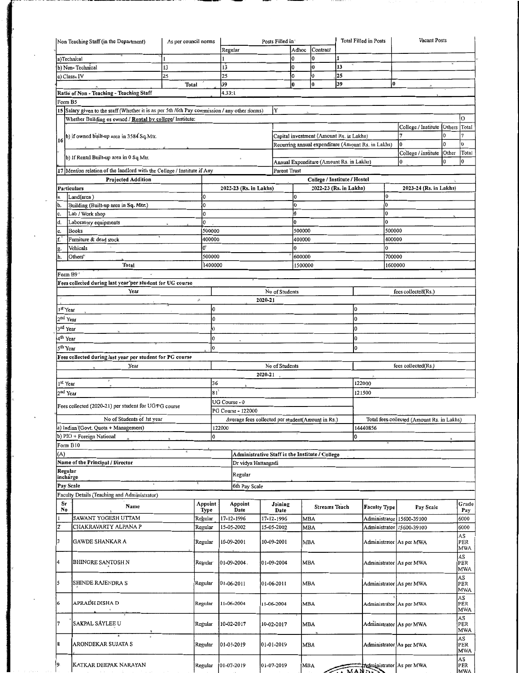|                      | Non Teaching Staff (in the Department)                                                        | As per council norms |              |               |                                                   |         | Posts Filled in | Adhoc        | Contract                                 |    | Total Filled in Posts                              |         | Vacant Posts                               |          |                   |
|----------------------|-----------------------------------------------------------------------------------------------|----------------------|--------------|---------------|---------------------------------------------------|---------|-----------------|--------------|------------------------------------------|----|----------------------------------------------------|---------|--------------------------------------------|----------|-------------------|
| a)Technical          |                                                                                               |                      |              | Regular       |                                                   |         | l0              |              | 0                                        |    |                                                    |         |                                            |          |                   |
|                      | b) Non-Technical                                                                              | 13                   |              | 13            |                                                   |         | 10              |              | 0                                        | 13 |                                                    |         |                                            |          |                   |
|                      | c) Class, IV                                                                                  | 25                   |              | 25            |                                                   |         | I٥              |              | 0                                        | 25 |                                                    |         |                                            |          |                   |
|                      |                                                                                               | Total                |              | 39            |                                                   |         | ł0              |              | $\bf{0}$                                 | 39 |                                                    | 0       |                                            |          |                   |
|                      | Ratio of Non - Teaching - Teaching Staff                                                      |                      |              | 4.33:1        |                                                   |         |                 |              |                                          |    |                                                    |         |                                            |          |                   |
| Form B5              |                                                                                               |                      |              |               |                                                   |         |                 |              |                                          |    |                                                    |         |                                            |          |                   |
|                      | 15 Salary given to the staff (Whether it is as per 5th /6th Pay commission / any other norms) |                      |              |               |                                                   |         | Y               |              |                                          |    |                                                    |         |                                            |          |                   |
|                      | Whether Building os owned / Rental by college/ Institute:                                     |                      |              |               |                                                   |         |                 |              |                                          |    |                                                    |         |                                            |          | $\overline{O}$    |
|                      |                                                                                               |                      |              |               |                                                   |         |                 |              |                                          |    |                                                    |         | College / Institute                        | Others   | Total             |
|                      | b) if owned built-up area in 3584 Sq. Mtr.                                                    |                      |              |               |                                                   |         |                 |              | Capital investment (Amount Rs. in Lakhs) |    |                                                    |         | 7                                          | 0        |                   |
|                      |                                                                                               |                      |              |               |                                                   |         |                 |              |                                          |    | Recurring annual expenditure (Amount Rs. in Lakhs) |         | 0                                          | 0        | I٥                |
|                      |                                                                                               |                      |              |               |                                                   |         |                 |              |                                          |    |                                                    |         | College / Institute                        | Other    | Total             |
|                      | b) If Rental Built-up area in 0 Sq.Mtr.                                                       |                      |              |               |                                                   |         |                 |              | Annual Expenditure (Amount Rs. in Lakhs) |    |                                                    |         | l0                                         | $\Omega$ | l0                |
| 17                   | Mention relation of the landlord with the College / Institute if Any                          |                      |              |               |                                                   |         | Parent Trust    |              |                                          |    |                                                    |         |                                            |          |                   |
|                      | <b>Projected Addition</b>                                                                     |                      |              |               |                                                   |         |                 |              | College / Institute / Hostel             |    |                                                    |         |                                            |          |                   |
|                      | Particulars                                                                                   |                      |              |               | 2022-23 (Rs. in Lakhs)                            |         |                 |              | 2022-23 (Rs. in Lakhs)                   |    |                                                    |         | 2023-24 (Rs. in Lakhs)                     |          |                   |
| ia.                  | Land(area)                                                                                    |                      | 0            |               |                                                   |         |                 | 0            |                                          |    |                                                    | 0       |                                            |          |                   |
| ib.                  | Building (Built-up area in Sq. Mtr.)                                                          |                      | lo.          |               |                                                   |         |                 | l0           |                                          |    |                                                    | 10      |                                            |          |                   |
| c.                   | Lab / Work shop                                                                               |                      | 0            |               |                                                   |         |                 | O            |                                          |    |                                                    | 0       |                                            |          |                   |
| d.                   | Laboratory equipments                                                                         |                      | 0            |               |                                                   |         |                 | 0            |                                          |    |                                                    | 0       |                                            |          |                   |
| le.                  | <b>Books</b>                                                                                  |                      | 500000       |               |                                                   |         |                 | 500000       |                                          |    |                                                    | 500000  |                                            |          |                   |
| f.                   | Furniture & dead stock                                                                        |                      | 400000       |               |                                                   |         |                 | 400000       |                                          |    |                                                    | 400000  |                                            |          |                   |
| lg.                  | Vehicals                                                                                      |                      | Q,           |               |                                                   |         |                 | <sup>0</sup> |                                          |    |                                                    | 0       |                                            |          |                   |
| h.                   | Others <sup>*</sup>                                                                           |                      | 500000       |               |                                                   |         |                 | 600000       |                                          |    |                                                    | 700000  |                                            |          |                   |
|                      | Total                                                                                         |                      | 1400000      |               |                                                   |         |                 | 1500000      |                                          |    |                                                    | 1600000 |                                            |          |                   |
| Form B9 <sup>*</sup> | $\mathbf{r}$                                                                                  |                      |              |               |                                                   |         |                 |              |                                          |    |                                                    |         |                                            |          |                   |
|                      | Fees collected during last year per student for UG course                                     |                      |              |               |                                                   |         |                 |              |                                          |    |                                                    |         |                                            |          |                   |
|                      | Year                                                                                          |                      |              |               |                                                   |         | No of Students  |              |                                          |    |                                                    |         | fees collected(Rs.)                        |          |                   |
|                      |                                                                                               | $\hat{\mu}$          |              |               |                                                   | 2020-21 |                 |              |                                          |    |                                                    |         |                                            |          |                   |
| 1 <sup>st</sup> Year |                                                                                               |                      | l0           |               |                                                   |         |                 |              |                                          |    | 0                                                  |         |                                            |          |                   |
| 2 <sup>nd</sup> Year |                                                                                               |                      | IO.          |               |                                                   |         |                 |              |                                          |    | 0                                                  |         |                                            |          |                   |
| 3 <sup>rd</sup> Year |                                                                                               |                      | $\bf{0}$     |               |                                                   |         |                 |              |                                          |    | 0                                                  |         |                                            |          |                   |
| 4 <sup>th</sup> Year |                                                                                               |                      | $\mathbf{0}$ |               |                                                   |         |                 |              |                                          |    | O.                                                 |         |                                            |          |                   |
| 5 <sup>th</sup> Year |                                                                                               |                      | <sup>0</sup> |               |                                                   |         |                 |              |                                          |    | 0                                                  |         |                                            |          |                   |
|                      | Fees collected during last year per student for PG course                                     |                      |              |               |                                                   |         |                 |              |                                          |    |                                                    |         |                                            |          |                   |
|                      | Year                                                                                          |                      |              |               |                                                   |         | No of Students  |              |                                          |    |                                                    |         | fees collected(Rs.)                        |          |                   |
|                      |                                                                                               |                      |              |               |                                                   | 2020-21 |                 |              |                                          |    |                                                    |         |                                            |          |                   |
| 1 <sup>st</sup> Year |                                                                                               |                      | 36           |               |                                                   |         |                 |              |                                          |    | 122000                                             |         |                                            |          |                   |
| 2 <sup>nd</sup> Year |                                                                                               |                      | 81           |               |                                                   |         |                 |              |                                          |    | 121500                                             |         |                                            |          |                   |
|                      |                                                                                               |                      |              | UG Course - 0 |                                                   |         |                 |              |                                          |    |                                                    |         |                                            |          |                   |
|                      | Fees collected (2020-21) per student for UG/PG course                                         |                      |              |               | PG Course - 122000                                |         |                 |              |                                          |    |                                                    |         |                                            |          |                   |
|                      | No of Students of 1st year                                                                    |                      |              |               | Average fees collected per student(Amount in Rs.) |         |                 |              |                                          |    |                                                    |         | Total fees collected (Amount Rs. in Lakhs) |          |                   |
|                      | a) Indian (Govt. Quota + Management)                                                          |                      |              | 122000        |                                                   |         |                 |              |                                          |    | 14440856                                           |         |                                            |          |                   |
|                      | b) PIO + Foreign National                                                                     |                      | O            |               |                                                   |         |                 |              |                                          |    | 0                                                  |         |                                            |          |                   |
| Form B10             |                                                                                               |                      |              |               |                                                   |         |                 |              |                                          |    |                                                    |         |                                            |          |                   |
| (A)                  |                                                                                               |                      |              |               | Administrative Staff in the Institute / College   |         |                 |              |                                          |    |                                                    |         |                                            |          |                   |
|                      | Name of the Principal / Director                                                              |                      |              |               | Dr vidya Hattangadi                               |         |                 |              |                                          |    |                                                    |         |                                            |          |                   |
| Regular              |                                                                                               |                      |              |               |                                                   |         |                 |              |                                          |    |                                                    |         |                                            |          |                   |
| incharge             |                                                                                               |                      |              |               | Regular                                           |         |                 |              |                                          |    |                                                    |         |                                            |          |                   |
| Pay Scale            |                                                                                               |                      |              |               | 6th Pay Scale                                     |         |                 |              |                                          |    |                                                    |         |                                            |          |                   |
|                      | Faculty Details (Teaching and Administrator)                                                  |                      |              |               |                                                   |         |                 |              |                                          |    |                                                    |         |                                            |          |                   |
| Sr                   | Name                                                                                          |                      | Appoint      |               | Appoint                                           |         | Joining         |              | <b>Streams Teach</b>                     |    | Faculty Type                                       |         | Pay Scale                                  |          | Grade             |
| No                   |                                                                                               |                      | Type         |               | Date                                              |         | Date            |              |                                          |    |                                                    |         |                                            |          | Pay               |
| $\mathbf{I}$<br>1z   | SAWANT YOGESH UTTAM                                                                           |                      | Regular      |               | 17-12-1996                                        |         | 17-12-1996      | <b>MBA</b>   |                                          |    | Administrator                                      |         | 15600-39100                                |          | 6000              |
|                      | CHAKRAVARTY ALPANA P                                                                          |                      | Regular      |               | 15-05-2002                                        |         | 15-05-2002      | <b>MBA</b>   |                                          |    | Administrator                                      |         | 15600-39100                                |          | 6000              |
| 3                    | <b>GAWDE SHANKAR A</b>                                                                        |                      | Regular      |               | 10-09-2001                                        |         | 10-09-2001      | MBA          |                                          |    |                                                    |         | Administrator As per MWA                   |          | AS<br>PER         |
|                      |                                                                                               |                      |              |               |                                                   |         |                 |              |                                          |    |                                                    |         |                                            |          | <b>MWA</b>        |
|                      |                                                                                               |                      |              |               |                                                   |         |                 |              |                                          |    |                                                    |         |                                            |          | AS                |
| 14                   | BHINGRE SANTOSH N                                                                             |                      | Regular      |               | 01-09-2004.                                       |         | 01-09-2004      | MBA          |                                          |    |                                                    |         | Administrator As per MWA                   |          | PER<br>MWA        |
|                      |                                                                                               |                      |              |               |                                                   |         |                 |              |                                          |    |                                                    |         |                                            |          | AS                |
| 5                    | SHINDE RAJENDRA S                                                                             |                      | Regular      |               | 01-06-2011                                        |         | 01-06-2011      | MBA          |                                          |    |                                                    |         | Administrator As per MWA                   |          | PER               |
|                      |                                                                                               |                      |              |               |                                                   |         |                 |              |                                          |    |                                                    |         |                                            |          | <b>MWA</b>        |
| 6                    | APRAĎH DISHA D                                                                                |                      | Regular      |               | 11-06-2004                                        |         | 11-06-2004      | MBA          |                                          |    |                                                    |         | Administrator As per MWA                   |          | AS<br>PER         |
|                      |                                                                                               |                      |              |               |                                                   |         |                 |              |                                          |    |                                                    |         |                                            |          | <b>MWA</b>        |
|                      |                                                                                               |                      |              |               |                                                   |         |                 |              |                                          |    |                                                    |         |                                            |          | AS                |
| 7                    | SAKPAL SÁYLEE U                                                                               |                      | Regular      |               | 10-02-2017                                        |         | 10-02-2017      | MBA          |                                          |    |                                                    |         | Administrator As per MWA                   |          | PER<br><b>MWA</b> |
|                      |                                                                                               |                      |              |               |                                                   |         |                 |              |                                          |    |                                                    |         |                                            |          | AS                |
| 8                    | ARONDEKAR SUJATA S                                                                            |                      | Regular      |               | 01-01-2019                                        |         | 01-01-2019      | MBA          |                                          |    |                                                    |         | Administrator As per MWA                   |          | PER               |
|                      |                                                                                               |                      |              |               |                                                   |         |                 |              |                                          |    |                                                    |         |                                            |          | <b>MWA</b>        |
| I9.                  | KATKAR DEEPAK NARAYAN                                                                         |                      |              |               |                                                   |         |                 |              |                                          |    |                                                    |         |                                            |          | AS                |
|                      |                                                                                               |                      | Regular      |               | 01-07-2019                                        |         | 01-07-2019      | MBA          |                                          |    |                                                    |         | Administrator As per MWA                   |          | PER               |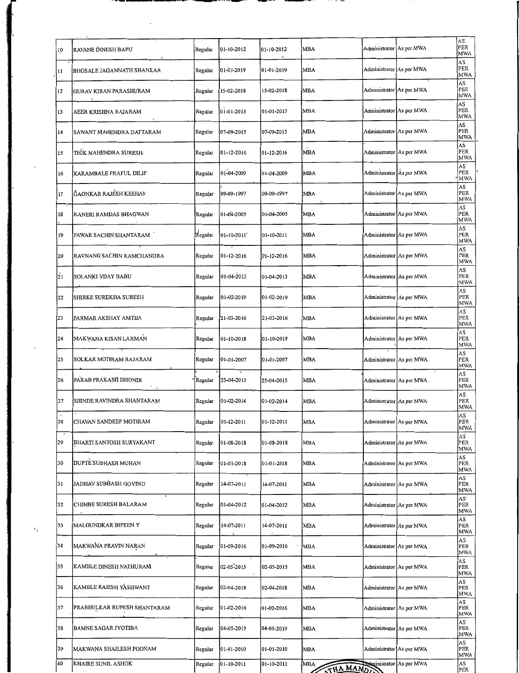| 10                          | RAVANE DINESH BAPU           | Regular | 01-10-2012        | 01-10-2012 | MBA             | Administrator As per MWA |                          | AS<br>PER<br>MWA                     |
|-----------------------------|------------------------------|---------|-------------------|------------|-----------------|--------------------------|--------------------------|--------------------------------------|
| п                           | BHOSALE JAGANNATH SHANKAR    | Regular | 01-01-2019        | 01-01-2019 | MBA             | Administrator As per MWA |                          | AS<br>PER<br>MWA                     |
| 12                          | GURAV KIRAN PARASHURAM       | Regular | 15-02-2018        | 15-02-2018 | <b>MBA</b>      | Administrator As per MWA |                          | AS<br>PER<br>MWA                     |
| 13                          | AEER KRISHNA RAJARAM         | Regular | 01-01-2013        | 01-01-2013 | MBA             | Administrator As per MWA |                          | AS<br>PER<br>MWA                     |
| 14                          | SAWANT MAHENDRA DATTARAM     | Regular | 07-09-2015        | 07-09-2015 | MBA             | Administrator As per MWA |                          | AS<br>PER<br>MWA                     |
| 15                          | THÏK MAHENDRA SURESH-        | Regular | $01 - 12 - 2016$  | 01-12-2016 | MBA             | Administrator As per MWA |                          | AS<br>PER<br><b>MWA</b>              |
| 16                          | KARAMBALE PRAFUL DILIP       | Regular | 01-04-2009        | 01-04-2009 | <b>MBA</b>      | Administrator As per MWA |                          | AS<br>PER<br>MWA                     |
| 17                          | <b>ĞAONKAR RAJESH KESHAV</b> | Regular | 09-09-1997        | 09-09-1997 | MBA             | Administrator As per MWA |                          | AS<br>PER<br><b>MWA</b>              |
| 18                          | KANERI RAMDAS BHAGWAN        | Regular | 01-04-2005        | 01-04-2005 | <b>MBA</b>      | Administrator As per MWA |                          | AS<br>PER<br><b>MWA</b>              |
| 19                          | PAWAR SACHIN SHANTARAM       | Regular | $01 - 10 - 2011$  | 01-10-2011 | MBA             | Administrator As per MWA |                          | AS<br>PER<br>MWA                     |
| 20                          | RAVNANG SACHIN RAMCHANDRA    | Regular | 01-12-2016        | 01-12-2016 | MBA             | Administrator As per MWA |                          | AS<br>PER<br>MWA                     |
| $\overline{21}$             | SOLANKI VIJAY BABU           | Regular | 01-04-2013        | 01-04-2013 | <b>MBA</b>      | Administrator As per MWA |                          | AS<br>PER<br>MWA                     |
| 22                          | <b>SHIRKE SUREKHA SURESH</b> | Regular | 01-02-2019        | 01-02-2019 | MBA             |                          | Administrator As per MWA | AS<br>PER<br>MWA                     |
| 23                          | PARMAR AKSHAY AMTHA          | Regular | 21-03-2016        | 21-03-2016 | MBA             |                          | Administrator As per MWA | AS<br>PER<br>MWA                     |
| 24                          | MAKWANA KISAN LAXMAN         | Regular | 01-10-2018        | 01-10-2018 | MBA             | Administrator As per MWA |                          | AS<br>PER<br>MWA                     |
| 25                          | SOLKAR MOTIRAM RAJARAM       | Regular | 01-01-2007        | 01-01-2007 | <b>MBA</b>      | Administrator As per MWA |                          | AS<br>PER<br>MWA                     |
| 26                          | PARAB PRAKASH DHONDI         | Regular | 25-04-2015        | 25-04-2015 | <b>MBA</b>      |                          | Administrator As per MWA | AS<br>PER<br><b>MWA</b>              |
| 27                          | SHINDE RAVINDRA SHANTARAM    | Regular | 01-02-2014        | 01-02-2014 | <b>MBA</b>      | Administrator As per MWA |                          | AS<br>PER<br>MWA                     |
| 28                          | CHAVAN SANDEEP MOTIRAM       | Regular | $01 - 12 - 2011$  | 01-12-2011 | <b>MBA</b>      | Administrator As per MWA |                          | AS<br>PER<br><b>MWA</b>              |
| $\boldsymbol{\kappa}$<br>29 | BHARTI SANTOSH SURYAKANT     | Regular | 01-08-2018        | 01-08-2018 | MBA             | Administrator As per MWA |                          | AS<br>PER<br>MWA                     |
| 30                          | DUPTE SUBHASH MOHAN          | Regular | 01-01-2018        | 01-01-2018 | <b>MBA</b>      | Administrator As per MWA |                          | AS<br>PER<br>MWA                     |
| 31                          | JADHAV SUBHASH GOVIND        | Regular | 14-07-2011        | 14-07-2011 | <b>MBA</b>      | Administrator As per MWA |                          | AS<br>PER<br><b>MWA</b>              |
| 32                          | CHIMBE SURESH BALARAM        | Regular | $ 01 - 04 - 2012$ | 01-04-2012 | MBA             | Administrator As per MWA |                          | AS <sup>.</sup><br>PER<br><b>MWA</b> |
| 33                          | MALGUNDKAR BIPEEN Y          | Regular | 14-07-2011        | 14-07-2011 | MBA             | Administrator As per MWA |                          | AS<br>PER<br><b>MWA</b>              |
| 34                          | MAKWANA PRAVIN NARAN         | Regular | 01-09-2016        | 01-09-2016 | <b>MBA</b>      | Administrator As per MWA |                          | AS<br>PER<br><b>MWA</b>              |
| 35                          | KAMBLE DINESH NATHURAM       | Regular | 02-05-2015        | 02-05-2015 | MBA             | Administrator As per MWA |                          | AS<br>PER<br><b>MWA</b>              |
| 36                          | KAMBLE RAJESH YÂSHWANT       | Regular | 02-04-2018        | 02-04-2018 | MBA             |                          | Administrator As per MWA | AS<br>PER<br>MWA                     |
| 37                          | PRABHULKAR RUPESH SHANTARAM  | Regular | 01-02-2016        | 01-02-2016 | MBA             |                          | Administrator As per MWA | AS<br>PER<br><b>MWA</b>              |
| 38                          | <b>BAMNE SAGAR JYOTIBA</b>   | Regular | 04-05-2019        | 04-05-2019 | MBA             |                          | Administrator As per MWA | AS<br>PER<br><b>MWA</b>              |
| 39                          | MAKWANA SHAILESH POONAM      | Regular | 01-01-2010        | 01-01-2010 | MBA             |                          | Administrator As per MWA | AS<br>PER<br><b>MWA</b>              |
| 40                          | KHAIRE SUNIL ASHOK           | Regular | 01-10-2011        | 01-10-2011 | MBA<br>THA MAND |                          | Administrator As per MWA | AS<br>PER                            |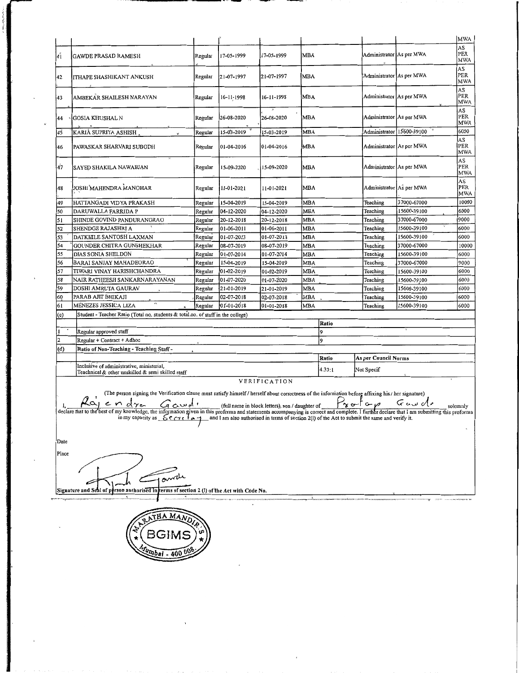| l41      | <b>GAWDE PRASAD RAMESH</b>                                                                                                                                                                                                                                                                                                                                                                                                                                                                                                                                                              | Regular            | 17-05-1999               | 17-05-1999               | <b>MBA</b>               |        | Administrator As per MWA |                             | <b>MWA</b><br>AS<br>PER |  |  |  |
|----------|-----------------------------------------------------------------------------------------------------------------------------------------------------------------------------------------------------------------------------------------------------------------------------------------------------------------------------------------------------------------------------------------------------------------------------------------------------------------------------------------------------------------------------------------------------------------------------------------|--------------------|--------------------------|--------------------------|--------------------------|--------|--------------------------|-----------------------------|-------------------------|--|--|--|
|          | ITHAPE SHASHIKANT ANKUSH                                                                                                                                                                                                                                                                                                                                                                                                                                                                                                                                                                | Regular            | 21-07-1997               | 21-07-1997               | MBA                      |        | Administrator As per MWA |                             | MWA<br>AS<br>PER        |  |  |  |
| 42<br>43 | AMBEKAR SHAILESH NARAYAN                                                                                                                                                                                                                                                                                                                                                                                                                                                                                                                                                                | Regular            | 16-11-1998               | 16-11-1998               | MBA                      |        | Administrator As per MWA |                             | <b>MWA</b><br>AS<br>PER |  |  |  |
| 44       | GOSIA KHUSHAL N                                                                                                                                                                                                                                                                                                                                                                                                                                                                                                                                                                         | Regular            | 26-08-2020               | 26-08-2020               | MBA                      |        | Administrator As per MWA |                             | MWA<br>AS<br>PER        |  |  |  |
|          |                                                                                                                                                                                                                                                                                                                                                                                                                                                                                                                                                                                         |                    |                          |                          | MBA                      |        |                          | Administrator   15600-39100 | MWA<br>6000             |  |  |  |
| 45       | KARIÅ SUPRIYA ASHISH                                                                                                                                                                                                                                                                                                                                                                                                                                                                                                                                                                    | Regular            | 15-03-2019               | 15-03-2019               |                          |        |                          |                             | AS                      |  |  |  |
| 46       | PAWASKAR SHARVARI SUBODH                                                                                                                                                                                                                                                                                                                                                                                                                                                                                                                                                                | Regular            | 01-04-2016               | 01-04-2016               | <b>MBA</b>               |        | Administrator As per MWA |                             | PER<br>MWA              |  |  |  |
| 47       | SAYED SHAKILA NAWABJAN                                                                                                                                                                                                                                                                                                                                                                                                                                                                                                                                                                  | Regular            | 15-09-2020               | 15-09-2020               | <b>MBA</b>               |        | Administrator As per MWA |                             | AS<br>PER<br><b>MWA</b> |  |  |  |
| 48       | JOSHI MAHENDRA MANOHAR                                                                                                                                                                                                                                                                                                                                                                                                                                                                                                                                                                  | Regular            | 11-01-2021               | 11-01-2021               | <b>MBA</b>               |        | Administrator As per MWA |                             | AS<br>PER<br>MWA        |  |  |  |
| 49       | HATTANGADI VIDYA PRAKASH                                                                                                                                                                                                                                                                                                                                                                                                                                                                                                                                                                | Regular            | 15-04-2019               | 15-04-2019               | <b>MBA</b>               |        | Teaching                 | 37000-67000                 | 10000                   |  |  |  |
| 50       | DARUWALLA FARRIDA P                                                                                                                                                                                                                                                                                                                                                                                                                                                                                                                                                                     | Regular            | 04-12-2020               | 04-12-2020               | <b>MBA</b>               |        | Teaching                 | 15600-39100                 | 6000                    |  |  |  |
| 51       | SHINDE GOVIND PANDURANGRAO                                                                                                                                                                                                                                                                                                                                                                                                                                                                                                                                                              | Regular            | 20-12-2018               | 20-12-2018               | MBA                      |        | Teaching                 | 37000-67000                 | 9000                    |  |  |  |
| 52       | SHENDGE RAJASHRI A                                                                                                                                                                                                                                                                                                                                                                                                                                                                                                                                                                      | Regular            | 01-06-2011               | 01-06-2011               | MBA                      |        | Teaching                 | 15600-39100                 | 6000                    |  |  |  |
| 53       | DATKHILE SANTOSH LAXMAN                                                                                                                                                                                                                                                                                                                                                                                                                                                                                                                                                                 | Regular            | 01-07-2013               | 01-07-2013               | MBA                      |        | Teaching                 | 15600-39100                 | 6000                    |  |  |  |
| 54       | GOUNDER CHITRA GUNSHEKHAR                                                                                                                                                                                                                                                                                                                                                                                                                                                                                                                                                               | Regular            | 08-07-2019               | 08-07-2019               | MBA                      |        | Teaching                 | 37000-67000                 | 10000                   |  |  |  |
| 55       | DIAS SONIA SHELDON                                                                                                                                                                                                                                                                                                                                                                                                                                                                                                                                                                      | Regular            | 01-07-2014               | 01-07-2014               | MBA                      |        | Teaching                 | 15600-39100                 | 6000<br>9000            |  |  |  |
| 56<br>57 | BARAI SANJAY MAHADEORAO<br>TIWARI VINAY HARISHCHANDRA                                                                                                                                                                                                                                                                                                                                                                                                                                                                                                                                   | Regular            | 15-04-2019<br>01-02-2019 | 15-04-2019<br>01-02-2019 | <b>MBA</b><br><b>MBA</b> |        | Teaching<br>Teaching     | 37000-67000<br>15600-39100  | 6000                    |  |  |  |
| 58       | NAIR RATHEESH SANKARNARAYANAN                                                                                                                                                                                                                                                                                                                                                                                                                                                                                                                                                           | Regular<br>Regular | 01-07-2020               | 01-07-2020               | <b>MBA</b>               |        | Teaching                 | 15600-39100                 | 6000                    |  |  |  |
| 59       | DOSHI AMRUTA GAURAV                                                                                                                                                                                                                                                                                                                                                                                                                                                                                                                                                                     | Regular            | 21-01-2019               | 21-01-2019               | <b>MBA</b>               |        | Teaching                 | 15600-39100                 | 6000                    |  |  |  |
| 60       | PARAB AJIT BHIKAJI                                                                                                                                                                                                                                                                                                                                                                                                                                                                                                                                                                      | Regular            | 02-07-2018               | 02-07-2018               | MBA                      |        | Teaching                 | 15600-39100                 | 6000                    |  |  |  |
| 61       | ٧ħ<br>MÉNEZES JESSICA LIZA                                                                                                                                                                                                                                                                                                                                                                                                                                                                                                                                                              | Regular            | 01-01-2018               | 01-01-2018               | <b>MBA</b>               |        | Teaching                 | 15600-39100                 | 6000                    |  |  |  |
| (c)      | Student - Teacher Ratio (Total no. students & total no. of staff in the college)                                                                                                                                                                                                                                                                                                                                                                                                                                                                                                        |                    |                          |                          |                          |        |                          |                             |                         |  |  |  |
|          |                                                                                                                                                                                                                                                                                                                                                                                                                                                                                                                                                                                         |                    |                          |                          |                          | Ratio  |                          |                             |                         |  |  |  |
|          | Regular approved staff                                                                                                                                                                                                                                                                                                                                                                                                                                                                                                                                                                  |                    |                          |                          |                          | 9      |                          |                             |                         |  |  |  |
|          | Regular + Contract + Adhoc                                                                                                                                                                                                                                                                                                                                                                                                                                                                                                                                                              |                    |                          |                          |                          | 9      |                          |                             |                         |  |  |  |
| (d)      | Ratio of Non-Teaching - Teaching Staff -                                                                                                                                                                                                                                                                                                                                                                                                                                                                                                                                                |                    |                          |                          |                          |        |                          |                             |                         |  |  |  |
|          |                                                                                                                                                                                                                                                                                                                                                                                                                                                                                                                                                                                         |                    |                          |                          |                          | Ratio  | As per Council Norms     |                             |                         |  |  |  |
|          | Inclusive of administrative, ministerial,<br>Teachnical & other unskilled & semi skilled staff                                                                                                                                                                                                                                                                                                                                                                                                                                                                                          |                    |                          |                          |                          | 4.33:1 | Not Specif               |                             |                         |  |  |  |
|          |                                                                                                                                                                                                                                                                                                                                                                                                                                                                                                                                                                                         |                    |                          | <b>VERIFICATION</b>      |                          |        |                          |                             |                         |  |  |  |
|          | (The person signing the Verification clause must satisfy himself / herself about correctness of the information before affixing his / her signature)<br>$\frac{1}{1}$ , $\frac{1}{1}$ , $\frac{1}{1}$ , $\frac{1}{1}$ , $\frac{1}{1}$ (full name in block letters), son/daughter of $\frac{1}{1}$ or $\frac{1}{1}$ $\frac{1}{1}$ solemnly solemnly declare that is the best of my knowledge, the information given in thi<br>in my capacity as $\frac{6}{2}$ $\frac{1}{2}$ $\frac{1}{2}$ and I am also authorised in terms of section 2(I) of the Act to submit the same and verify it. |                    |                          |                          |                          |        |                          |                             |                         |  |  |  |
| Date     |                                                                                                                                                                                                                                                                                                                                                                                                                                                                                                                                                                                         |                    |                          |                          |                          |        |                          |                             |                         |  |  |  |
| Place    |                                                                                                                                                                                                                                                                                                                                                                                                                                                                                                                                                                                         |                    |                          |                          |                          |        |                          |                             |                         |  |  |  |
|          |                                                                                                                                                                                                                                                                                                                                                                                                                                                                                                                                                                                         |                    |                          |                          |                          |        |                          |                             |                         |  |  |  |
|          | Signature and Seal of person authorised in terms of section 2 (I) of the Act with Code No.                                                                                                                                                                                                                                                                                                                                                                                                                                                                                              |                    |                          |                          |                          |        |                          |                             |                         |  |  |  |
|          |                                                                                                                                                                                                                                                                                                                                                                                                                                                                                                                                                                                         |                    |                          |                          |                          |        |                          |                             |                         |  |  |  |
|          | НА МАЛ<br>BGIMS                                                                                                                                                                                                                                                                                                                                                                                                                                                                                                                                                                         |                    |                          |                          |                          |        |                          |                             |                         |  |  |  |
|          |                                                                                                                                                                                                                                                                                                                                                                                                                                                                                                                                                                                         |                    |                          |                          |                          |        |                          |                             |                         |  |  |  |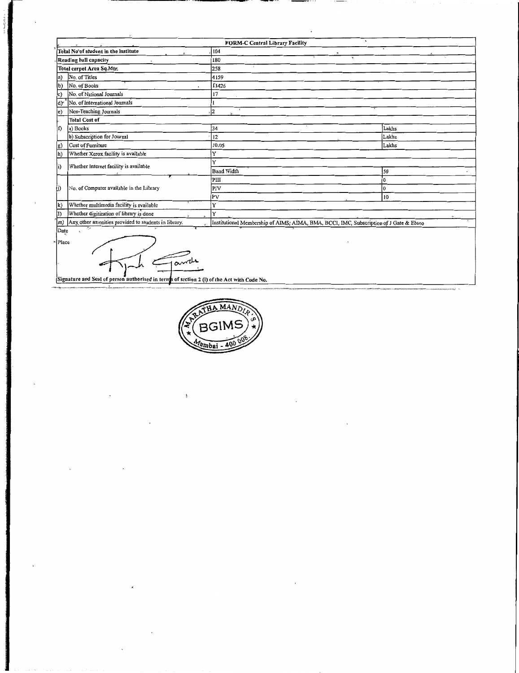|             | FORM-C Central Library Facility                      |                                                                                        |       |  |  |  |  |  |  |  |  |  |
|-------------|------------------------------------------------------|----------------------------------------------------------------------------------------|-------|--|--|--|--|--|--|--|--|--|
|             | Total No'of student in the institute                 | 104                                                                                    |       |  |  |  |  |  |  |  |  |  |
|             | Reading hall capacity                                | $\infty$<br>180                                                                        |       |  |  |  |  |  |  |  |  |  |
|             | Total carpet Area Sq.Mtr.                            | 258                                                                                    |       |  |  |  |  |  |  |  |  |  |
| $ a\rangle$ | No. of Titles                                        | 4159                                                                                   |       |  |  |  |  |  |  |  |  |  |
| $b$         | No. of Books                                         | f1426                                                                                  |       |  |  |  |  |  |  |  |  |  |
| c)          | No. of National Journals                             | 17                                                                                     |       |  |  |  |  |  |  |  |  |  |
| ld۲         | No. of International Journals                        |                                                                                        |       |  |  |  |  |  |  |  |  |  |
| e)          | Non-Teaching Journals                                | İ2                                                                                     |       |  |  |  |  |  |  |  |  |  |
|             | <b>Total Cost of</b>                                 |                                                                                        |       |  |  |  |  |  |  |  |  |  |
| h)          | a) Books                                             | 34                                                                                     | Lakhs |  |  |  |  |  |  |  |  |  |
|             | b) Subscription for Journal                          | 12                                                                                     | Lakhs |  |  |  |  |  |  |  |  |  |
| $\ket{g}$   | Cost of Furniture                                    | 10.05                                                                                  | Lakhs |  |  |  |  |  |  |  |  |  |
| $ h\rangle$ | Whether Xerox facility is available                  | Y                                                                                      |       |  |  |  |  |  |  |  |  |  |
| i)          | Whether Internet facility is available               | Y                                                                                      |       |  |  |  |  |  |  |  |  |  |
|             |                                                      | <b>Band Width</b>                                                                      | 50    |  |  |  |  |  |  |  |  |  |
|             |                                                      | PIII                                                                                   | l0    |  |  |  |  |  |  |  |  |  |
| li)         | No. of Computer available in the Library             | PIV                                                                                    | l0    |  |  |  |  |  |  |  |  |  |
|             |                                                      | lpv                                                                                    | 10    |  |  |  |  |  |  |  |  |  |
| k)          | Whether multimedia facility is available             | Y                                                                                      |       |  |  |  |  |  |  |  |  |  |
| I)          | Whether digitization of library is done              | Y                                                                                      |       |  |  |  |  |  |  |  |  |  |
| $ m\rangle$ | Any other amenities provided to students in library. | Institutional Membership of AIMS; AIMA, BMA, BCCI, IMC, Subscription of J Gate & Ebsco |       |  |  |  |  |  |  |  |  |  |
| Date        |                                                      |                                                                                        |       |  |  |  |  |  |  |  |  |  |
| Place       |                                                      |                                                                                        |       |  |  |  |  |  |  |  |  |  |
|             |                                                      |                                                                                        |       |  |  |  |  |  |  |  |  |  |
|             | $A$ and                                              |                                                                                        |       |  |  |  |  |  |  |  |  |  |

MAND BG Mumbai

Signature and Seal of person authorised in terms of section 2 (I) of the Act with Code No.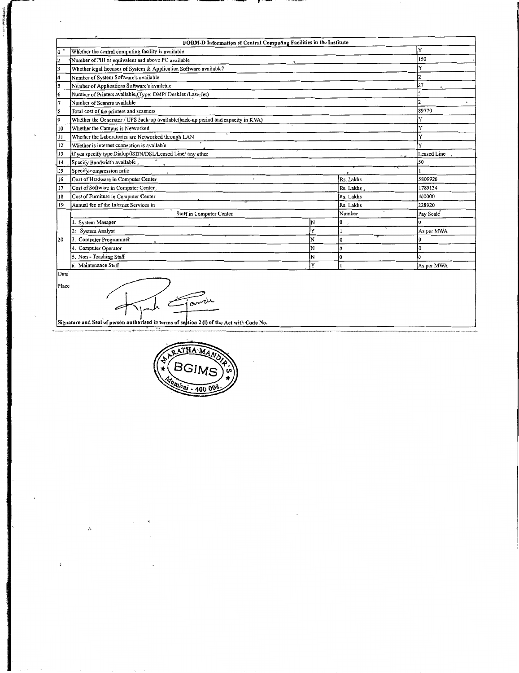|       | FORM-D Information of Central Computing Facilities in the Institute               |   |            |            |  |  |  |  |  |  |  |  |
|-------|-----------------------------------------------------------------------------------|---|------------|------------|--|--|--|--|--|--|--|--|
|       | Whether the central computing facility is available                               |   |            | Y          |  |  |  |  |  |  |  |  |
|       | Number of PIII or equivalent and above PC available                               |   |            |            |  |  |  |  |  |  |  |  |
| 3     | Whether legal licenses of System & Application Software available?                |   |            | v          |  |  |  |  |  |  |  |  |
| 4     | Number of System Software's available                                             |   |            |            |  |  |  |  |  |  |  |  |
| 5     | Number of Applications Software's available                                       |   |            | 27         |  |  |  |  |  |  |  |  |
| 6     | Number of Printers available (Type: DMP/ DeskJet /LaserJet)                       |   |            |            |  |  |  |  |  |  |  |  |
|       | Number of Scaners available                                                       |   |            |            |  |  |  |  |  |  |  |  |
| 8     | Total cost of the printers and scanners                                           |   |            | 89770      |  |  |  |  |  |  |  |  |
| l9    | Whether the Generator / UPS back-up available(back-up period and capacity in KVA) |   |            |            |  |  |  |  |  |  |  |  |
| 10    | Whether the Campus is Networked.                                                  |   |            | v          |  |  |  |  |  |  |  |  |
| 11    | Whether the Laboratories are Networked through LAN                                |   |            |            |  |  |  |  |  |  |  |  |
| ì2    | Whether is internet connection is available                                       |   |            |            |  |  |  |  |  |  |  |  |
| 13    | If yes specify type Dialup/ISDN/DSL/Leased Line/ any other<br>$\mathbf{a}$        |   |            |            |  |  |  |  |  |  |  |  |
| 14    | Specify Bandwidth available.                                                      |   |            | 50         |  |  |  |  |  |  |  |  |
| 15    | Specify, compression ratio                                                        |   |            |            |  |  |  |  |  |  |  |  |
| 16    | Cost of Hardware in Computer Center<br>$\cdot$                                    |   | Rs. Lakhs  | 5809926    |  |  |  |  |  |  |  |  |
| 17    | Cost of Software in Computer Center                                               |   | Rs. Lakhs. | 1789134    |  |  |  |  |  |  |  |  |
| 18    | Cost of Furniture in Computer Center                                              |   | Rs. Lakhs  | 400000     |  |  |  |  |  |  |  |  |
| 19    | Annual fee of the Internet Services in                                            |   | Rs. Lakhs  | 228920     |  |  |  |  |  |  |  |  |
|       | Staff in Computer Center                                                          |   | Number     | Pay Scale  |  |  |  |  |  |  |  |  |
|       | System Manager                                                                    | N | 0          |            |  |  |  |  |  |  |  |  |
|       | System Analyst<br>2 <sub>2</sub>                                                  | Y |            | As per MWA |  |  |  |  |  |  |  |  |
| 120   | 3. Computer Programmer                                                            | N | O          |            |  |  |  |  |  |  |  |  |
|       | 4. Computer Operator                                                              | N |            |            |  |  |  |  |  |  |  |  |
|       | 5. Non - Teaching Staff                                                           | N |            |            |  |  |  |  |  |  |  |  |
|       | 6. Maintenance Staff                                                              |   | As per MWA |            |  |  |  |  |  |  |  |  |
| Date  |                                                                                   |   |            |            |  |  |  |  |  |  |  |  |
| Place |                                                                                   |   |            |            |  |  |  |  |  |  |  |  |

 $\mathbf{r}$ 

--

Fande 9 Z レ Signature and Seal of person authorised in terms of section 2 (l) of the Act with Code No.

 $\mathbb{R}^k$ 

 $\tilde{z}$ 

Sen Stelle Montrea

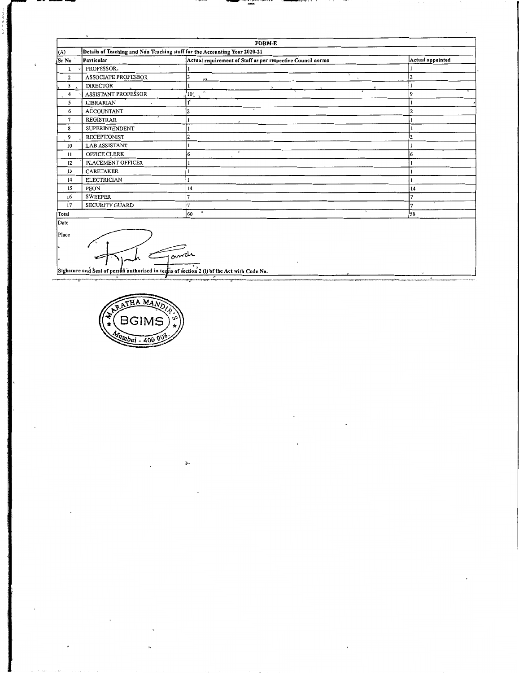|                             | $\mathbf{q}_i$<br><b>FORM-E</b> |                                                                            |                  |  |  |  |  |  |  |  |  |
|-----------------------------|---------------------------------|----------------------------------------------------------------------------|------------------|--|--|--|--|--|--|--|--|
| (A)                         |                                 | Details of Teaching and Non Teaching staff for the Accounting Year 2020-21 |                  |  |  |  |  |  |  |  |  |
| Sr No                       | Particular                      | Actual requirement of Staff as per respective Council norms                | Actual appointed |  |  |  |  |  |  |  |  |
|                             | $\mathcal{R}$<br>PROFESSOR.     |                                                                            |                  |  |  |  |  |  |  |  |  |
| 2                           | <b>ASSOCIATE PROFESSOR</b>      | <b>12.5</b>                                                                |                  |  |  |  |  |  |  |  |  |
| 3<br>$\boldsymbol{\lambda}$ | <b>DIRECTOR</b>                 |                                                                            |                  |  |  |  |  |  |  |  |  |
| 4                           | ASSISTANT PROFESSOR             | ×.<br>$10^{7}_{4}$                                                         | Q                |  |  |  |  |  |  |  |  |
| 5                           | LIBRARIAN                       |                                                                            |                  |  |  |  |  |  |  |  |  |
| 6                           | <b>ACCOUNTANT</b>               | $\overline{c}$                                                             |                  |  |  |  |  |  |  |  |  |
| 7                           | <b>REGISTRAR</b>                |                                                                            |                  |  |  |  |  |  |  |  |  |
| 8                           | SUPERINTENDENT                  | $\mu$ .                                                                    |                  |  |  |  |  |  |  |  |  |
| 9                           | <b>RECEPTIONIST</b>             |                                                                            |                  |  |  |  |  |  |  |  |  |
| 10                          | <b>LAB ASSISTANT</b>            |                                                                            |                  |  |  |  |  |  |  |  |  |
| 11                          | OFFICE CLERK                    | Ň.<br>6                                                                    | 6                |  |  |  |  |  |  |  |  |
| 12                          | PLACEMENT OFFICER               |                                                                            |                  |  |  |  |  |  |  |  |  |
| 13                          | <b>CARETAKER</b>                |                                                                            |                  |  |  |  |  |  |  |  |  |
| 14                          | <b>ELECTRICIAN</b>              |                                                                            |                  |  |  |  |  |  |  |  |  |
| 15                          | PEON                            | 14                                                                         | 14               |  |  |  |  |  |  |  |  |
| 16                          | ×<br><b>SWEEPER</b>             |                                                                            |                  |  |  |  |  |  |  |  |  |
| 17                          | SECURITY GUARD                  |                                                                            |                  |  |  |  |  |  |  |  |  |
| Total                       |                                 | $\infty$<br>60                                                             | 58               |  |  |  |  |  |  |  |  |
| Date                        |                                 |                                                                            |                  |  |  |  |  |  |  |  |  |
| Place                       |                                 |                                                                            |                  |  |  |  |  |  |  |  |  |

HA MAN BGI  $w$ baj - 400

Ω Sighature and Seal of person authorised in terms of section 2 (l) of the Act with Code No.

J,

V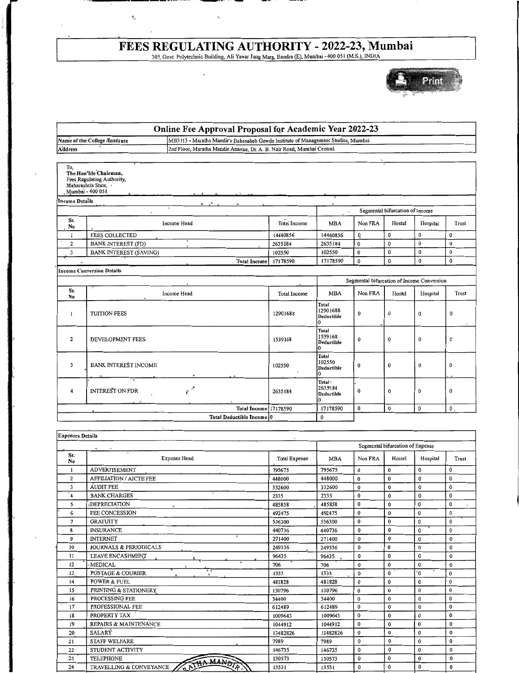### **FEES REGULATING AUTHORITY- 2022-23, Mumbai**

 $\ddot{\phantom{a}}$ 

 $\cdot$ 

305, Govt. Polytechnic Building, Ali Yawar Jung Marg, Bandra (E), Mwnbai- 400 051 (M.S.), INDIA

 $\cdot$  . The contract of the contract of the contract of the contract of  $\cdot$ 

 $\ddot{\phantom{1}}$ 

 $\tilde{\mathcal{J}}_g$ 



| Online Fee Approval Proposal for Academic Year 2022-23<br>MB3113 - Maratha Mandir's Babasaheb Gawde Institute of Management Studies, Mumbai<br>Name of the College Institute |                                                                        |  |  |  |
|------------------------------------------------------------------------------------------------------------------------------------------------------------------------------|------------------------------------------------------------------------|--|--|--|
|                                                                                                                                                                              |                                                                        |  |  |  |
| Address                                                                                                                                                                      | 2nd Floor, Maratha Mandir Annexe, Dr. A. B. Nair Road, Mumbai Central. |  |  |  |
|                                                                                                                                                                              |                                                                        |  |  |  |

| To,            | The Hon'ble Chairman.<br>Fees Regulating Authority,<br>Maharashtra State,<br>Mumbai - 400 051            |                     |                                      |             |                                 |                                            |                |
|----------------|----------------------------------------------------------------------------------------------------------|---------------------|--------------------------------------|-------------|---------------------------------|--------------------------------------------|----------------|
| Income Details | $\omega^{\mathcal{K}}$<br>$\mathbf{M}$                                                                   |                     | ×.                                   |             |                                 |                                            |                |
|                | $\overline{a}$<br>$\cdot$                                                                                |                     | $\kappa$                             |             | Segmental bifurcation of Income |                                            |                |
| Sr.<br>No      | Income Head                                                                                              | <b>Total Income</b> | <b>MBA</b>                           | Non FRA     | Hostel                          | Hospital                                   | Trust          |
|                | <b>FEES COLLECTED</b>                                                                                    | 14440856            | 14440856                             | Q           | $\bf{0}$                        | $\mathbf{0}$                               | 0              |
| 2              | Ŧ<br><b>BANK INTEREST (FD)</b><br>$\overline{\phantom{a}}$                                               | 2635184             | 2635184                              | $\mathbf 0$ | $\mathbf 0$                     | $\bf{0}$                                   | $\bf{0}$       |
| 3              | <b>BANK INTEREST (SAVING)</b>                                                                            | 102550              | 102550                               | $\bf{0}$    | $\bf{0}$                        | $\bf{0}$                                   | $\bf{0}$       |
| $\mathbf{q}_i$ | <b>Total Income!</b>                                                                                     | 17178590            | 17178590                             | $\bf{0}$    | $\bf{0}$                        | $\bf{0}$                                   | 0              |
|                | Income Conversion Details                                                                                |                     |                                      |             |                                 |                                            |                |
|                |                                                                                                          |                     |                                      |             |                                 | Segmental bifurcation of Income Conversion |                |
| Sr.<br>No.     | Income Head                                                                                              | <b>Total Income</b> | <b>MBA</b>                           | Non FRA     | Hostel                          | Hospital                                   | Trust          |
| 1              | <b>TUITION FEES</b>                                                                                      | 12901688            | Total<br>12901688<br>Deductible<br>0 | $\mathbf 0$ | $\mathbf 0$                     | $\mathbf{0}$                               | 0              |
| $\overline{2}$ | DEVELOPMENT FEES.                                                                                        | 1539168             | Total<br>1539168<br>Deductible<br>n. | 0           | 0                               | $\bf{0}$                                   | 0              |
| 3              | <b>BANK INTEREST INCOME</b>                                                                              | 102550              | Total<br>102550<br>Deductible<br>10  | 0           | 0                               | 0                                          | 0              |
| 4              | $\overline{\mathbf{x}}$<br>$\mathbb{R}^{\mathbb{N}^{\mathbb{N}^{\mathbb{N}}}}$<br><b>INTEREST ON FDR</b> | 2635184             | Total-<br>2635184<br>Deductible<br>0 | $\mathbf 0$ | 0                               | $\mathbf{0}$                               | 0              |
|                | Total Income 17178590                                                                                    |                     | 17178590                             | 0           | $\mathbf{0}$                    | $\mathbf{0}$                               | $\mathbf{0}$ . |
|                | Total Deductible Income <sup>10</sup>                                                                    |                     | $\bf{0}$                             |             |                                 |                                            |                |

| <b>Expenses Details</b> |                                                         |                      |                                  |             |              |              |              |  |  |  |  |
|-------------------------|---------------------------------------------------------|----------------------|----------------------------------|-------------|--------------|--------------|--------------|--|--|--|--|
|                         | $\star$                                                 |                      | Segmental bifurcation of Expense |             |              |              |              |  |  |  |  |
| Sr.<br>No               | $^{+11}$<br><b>Expense Head</b>                         | <b>Total Expense</b> | <b>MBA</b>                       | Non FRA     | Hostel       | Hospital     | Trust        |  |  |  |  |
| 1                       | <b>ADVERTISEMENT</b>                                    | 795675               | 795675                           | $\bf{0}$    | $\bf{0}$     | $\mathbf 0$  | $\mathbf 0$  |  |  |  |  |
| 2                       | <b>AFFILIATION / AICTE FEE</b>                          | 448000               | 448000                           | $\bf{0}$    | $\bf{0}$     | 0            | $\mathbf 0$  |  |  |  |  |
| 3                       | <b>AUDIT FEE</b>                                        | 332600               | 332600                           | 0           | $\bf{0}$     | 0            | $\mathbf 0$  |  |  |  |  |
| 4                       | <b>BANK CHARGES</b>                                     | 2335                 | 2335                             | 0           | $\bf{0}$     | $\Omega$     | 0            |  |  |  |  |
| 5                       | <b>DEPRECIATION</b><br>$\mathbf{\hat{a}}$               | 485858               | 485858                           | 0           | 0            | $\mathbf 0$  | 0            |  |  |  |  |
| 6                       | FEE CONCESSION                                          | 492475               | 492475                           | 0           | $\bf{0}$     | 0            | $\Omega$     |  |  |  |  |
| 7                       | <b>GRATUITY</b>                                         | 536300               | 536300                           | 0           | $\bf{0}$     | $\theta$     | $\bf{0}$     |  |  |  |  |
| 8                       | <b>INSURANCE</b>                                        | 440736               | 440736                           | 0           | $\bf{0}$     | $\Omega$     | 0            |  |  |  |  |
| 9                       | $\overline{\phantom{a}}$<br><b>INTERNET</b>             | 271400               | 271400                           | 0           | $\bf{0}$     | 0            | $\mathbf 0$  |  |  |  |  |
| 10                      | JOURNALS & PERIODICALS                                  | 249336<br>x.         | 249336                           | $\bf{0}$    | $\bf{0}$     | $\mathbf 0$  | $\mathbf 0$  |  |  |  |  |
| 11                      | LEAVE ENCASHMENT                                        | 96435                | 96435                            | $\mathbf 0$ | 0            | 0            | $\bf{0}$     |  |  |  |  |
| 12                      | <b>MEDICAL</b>                                          | 706                  | 706                              | 0           | $\mathbf 0$  | $\mathbf 0$  | $\bf{0}$     |  |  |  |  |
| 13                      | $\overline{h}$ is<br><b>POSTAGE &amp; COURIER</b><br>ð. | 1333                 | 1333                             | $\bf{0}$    | $\mathbf{0}$ | $^{\circ}$ 0 | $\mathbf 0$  |  |  |  |  |
| 14                      | POWER & FUEL                                            | 481828               | 481828                           | 0           | $\mathbf 0$  | $\bf{0}$     | $\mathbf{0}$ |  |  |  |  |
| I <sub>5</sub>          | PRINTING & STATIONERY                                   | 130796               | 130796                           | $\bf{0}$    | $\bf{0}$     | $\bf{0}$     | $\bf{0}$     |  |  |  |  |
| 16                      | PROCESSING FEE                                          | 34400                | 34400                            | $\bf{0}$    | $\bf{0}$     | $\mathbf{0}$ | $\bf{0}$     |  |  |  |  |
| 17                      | PROFESSIONAL FEE                                        | 612489               | 612489                           | 0           | $\mathbf 0$  | $\mathbf 0$  | $\bf{0}$     |  |  |  |  |
| 18                      | PROPERTY TAX                                            | 1009643              | 1009643                          | 0           | $\bf{0}$     | $\bf{0}$     | $\bf{0}$     |  |  |  |  |
| 19                      | REPAIRS & MAINTENANCE                                   | 1044912              | 1044912                          | $\bf{0}$    | $\mathbf 0$  | $\bf{0}$     | $\bf{0}$     |  |  |  |  |
| 20.                     | SALARY                                                  | 13482826             | 13482826                         | $\bf{0}$    | $\bf{0}$     | 0            | $\mathbf 0$  |  |  |  |  |
| 21                      | <b>STAFF WELFARE</b>                                    | 7989                 | 7989                             | 0           | $\bf{0}$     | $\mathbf 0$  | $\bf{0}$     |  |  |  |  |
| 22                      | STUDENT ACTIVITY                                        | 146735               | 146735                           | 0           | $\bf{0}$     | 0            | $\mathbf 0$  |  |  |  |  |
| 23                      | <b>TELEPHONE</b>                                        | 130573               | 130573                           | 0           | $\bf{0}$     | $\bf{0}$     | $\bf{0}$     |  |  |  |  |
| 24                      | ANTHA MANDIA<br>TRAVELLING & CONVEYANCE                 | 13531                | 13531                            | $\bf{0}$    | 0            | $\bf{0}$     | $\bf{0}$     |  |  |  |  |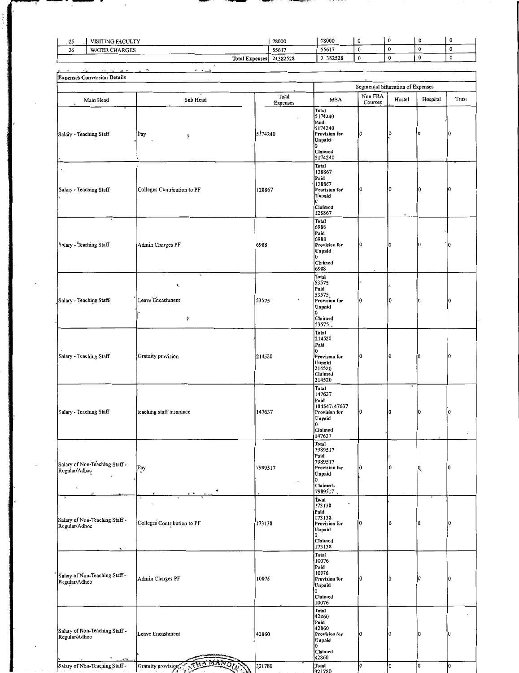| ጎኛ<br>سه | VISITING FACULTY      | 78000    | 78000    |  |      |  |
|----------|-----------------------|----------|----------|--|------|--|
| 26       | <b>WATER CHARGES</b>  | 55617    | 55617    |  |      |  |
|          | <b>Total Expenses</b> | 21382528 | 21382528 |  | ____ |  |

minji

 $\ddot{\phantom{a}}$ 

. .

| <b>26.24 Britten</b><br>$96.8 - 46.$<br>$\sim$ $\omega$                                       | ₩.                                                 |          |                                                                                                          |          |             |          |          |  |  |  |  |
|-----------------------------------------------------------------------------------------------|----------------------------------------------------|----------|----------------------------------------------------------------------------------------------------------|----------|-------------|----------|----------|--|--|--|--|
| <b>Expenses Conversion Details</b><br>Segmental bifurcation of Expenses                       |                                                    |          |                                                                                                          |          |             |          |          |  |  |  |  |
|                                                                                               |                                                    | Total    |                                                                                                          | Non FRA  |             |          |          |  |  |  |  |
| Main Head                                                                                     | Sub Head                                           | Expenses | <b>MBA</b>                                                                                               | Courses  | Hostel      | Hospital | Trust    |  |  |  |  |
| Salary - Teaching Staff                                                                       | Pay<br>橐                                           | 5174240  | <b>Total</b><br>5174240<br>Paid<br>5174240<br>Provision for<br>Unpaid<br>Claimed<br>5174240              | 10       | 10          | 0        | 0        |  |  |  |  |
| Salary - Teaching Staff                                                                       | Colleges Contribution to PF                        | 128867   | <b>Total</b><br>128867<br>Paid<br>128867<br>Provision for<br>Unpaid<br>0<br>Claimed<br>128867            | 10       | 0           | 10       | 10       |  |  |  |  |
| Salary - Teaching Staff                                                                       | Admin Charges PF                                   | 6988     | Total<br>6988<br>Paid<br>6988<br>Provision for<br>Unpaid<br>10<br>Claimed<br>6988                        | ۱O       | i0          | O        | 0        |  |  |  |  |
| Salary - Teaching Staff.                                                                      | à,<br>$\hat{\pi}_\lambda$<br>Leave Encashment<br>ş | 53575    | Total<br>53575<br>Paid<br>53575<br>Provision for<br>Unpaid<br>10<br>Claimed<br>53575                     |          | $\mathbf 0$ | 10       | o        |  |  |  |  |
| Salary - Teaching Staff                                                                       | Gratuity provision                                 | 214520   | Total<br>214520<br>Paid<br>0<br>Provision for<br>Unpaid<br>214520<br>Claimed<br>214520                   | ١O       | 10          | ł0       | 0        |  |  |  |  |
| Salary - Teaching Staff                                                                       | teaching staff insurance                           | 147637   | Total<br>147637<br>Paid<br>184547147637<br>Provision for<br>Unpaid<br>0<br>Claimed<br>147637             | I0       | l0          | l0       | $\bf{0}$ |  |  |  |  |
| Salary of Non-Teaching Staff -<br>Regular/Adhoc                                               | Pay                                                | 7989517  | Total<br> 7989517<br>Paid<br>7989517<br>Provision for<br>Unpaid<br>10<br>Claimed <sub>*</sub>            | 10       | l0          | 0        | 10       |  |  |  |  |
| Salary of Non-Teaching Staff -<br>Regular/Adhoc                                               | Colleges Contribution to PF                        | 173138   | 7989517<br>Total<br>173138<br>Paid<br>173138<br>Provision for<br>Unpaid<br>$\mathbf 0$ .                 |          | 0           | IО       | 10       |  |  |  |  |
| Salary of Non-Teaching Staff-<br>Regular/Adhoc                                                | Admin Charges PF                                   | 10076    | Claimed<br>173138<br>Total<br>10076<br>Paid<br>10076<br>Provision for<br>Unpaid<br>0<br>Claimed<br>10076 | $\bf{0}$ | $\bf{0}$    | Iθ       | ١o       |  |  |  |  |
| Salary of Non-Teaching Staff -<br>Regular/Adhoc<br>¥.<br>$\mu$ $\mathbf{\check{e}}_{\vec{k}}$ | Leave Encashment                                   | 42860    | Total<br>42860<br>Paid<br>42860<br>Provision for<br>Unpaid<br>10<br>Claimed<br>42860                     | 0        | 0           | O        | 0        |  |  |  |  |
| Salary of Non-Teaching Staff -                                                                | Gratuity provision                                 | 321780   | Total<br>321780                                                                                          | lo       | o           | lо       | lо       |  |  |  |  |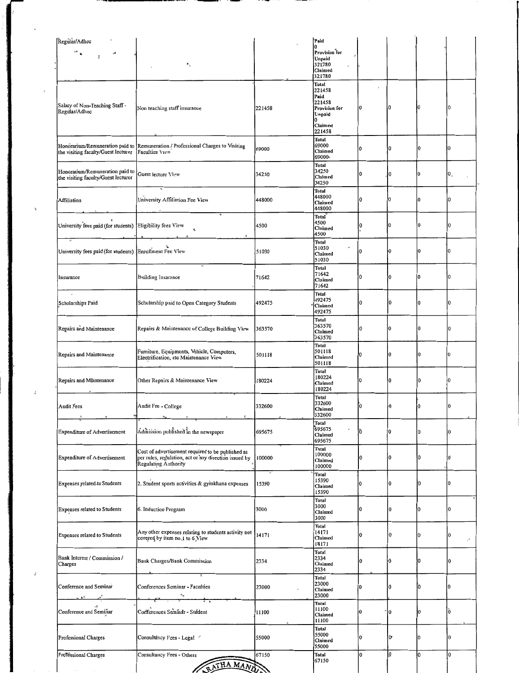| Regular/Adhoc                                                          |                                                                                                                                    |        | Paid<br>Λ                                                               |          |                     |          |                      |
|------------------------------------------------------------------------|------------------------------------------------------------------------------------------------------------------------------------|--------|-------------------------------------------------------------------------|----------|---------------------|----------|----------------------|
| $\mathbf{S}^k$ .<br>لمبر<br>¥,                                         | $\mathbf{R}_{\gamma}$                                                                                                              |        | Provision for<br>Unpaid<br>321780<br>Claimed<br>321780                  |          |                     |          |                      |
| Salary of Non-Teaching Staff -<br>Regular/Adhoc                        | Non teaching staff insurance                                                                                                       | 221458 | Total<br>221458<br>Paid<br>221458<br>Provision for<br>Unpaid<br>Claimed | 10       | 10                  |          | 10                   |
| Honorarium/Remuneration paid to<br>the visiting faculty/Guest lecturer | Remuneration / Professional Charges to Visiting<br>Faculties View                                                                  | 69000  | 221458<br>Total<br>69000<br>Claimed<br>69000-                           | l0       | 0                   | $\bf{0}$ | 10                   |
| Honorarium/Remuneration paid to<br>the visiting faculty/Guest lecturer | Guest lecture View                                                                                                                 | 34250  | Total<br>34250<br>Claimed<br>34250                                      | 0        | 10                  | n.       | Ю,                   |
| Affiliation                                                            | University Affiliation Fee View                                                                                                    | 448000 | Total<br>448000<br>Claimed<br>448000                                    | 0        | 0                   | n        | 0                    |
| University fees paid (for students)                                    | Eligibility fees View<br>Ŕ,                                                                                                        | 4500   | Total<br>4500<br>Claimed<br>4500                                        | 10       | 0                   | ı٥       | 10                   |
| University fees paid (for students) Enrollment Fee View                |                                                                                                                                    | 51030  | Total<br>51030<br>Claimed<br>51030                                      | łО       | $\ddot{\mathbf{0}}$ | I٥       | 0                    |
| Insurance                                                              | <b>Building Insurance</b>                                                                                                          | 71642  | Total<br>71642<br>Claimed<br>71642                                      | 0        | 0                   | 0        | Iо                   |
| $\pmb{\cdot}$<br>Scholarships Paid                                     | Scholarship paid to Open Category Students                                                                                         | 492475 | Total<br>492475<br>Claimed<br>492475                                    | $\bf{0}$ | 10                  | 10       | 0                    |
| Repairs and Maintenance                                                | Repairs & Maintenance of College Building View                                                                                     | 363570 | Total<br>363570<br>Claimed<br>363570                                    | 0        | 0                   | I٥       | ١O                   |
| Repairs and Maintenance                                                | Furniture, Equipments, Vehicle, Computers,<br>Electrification, etc Maintenance View                                                | 501118 | <b>Total</b><br>501118<br>Claimed<br>501118                             | 0        | İ0                  |          | $\overline{0}$       |
| Repairs and Maintenance                                                | Other Repairs & Maintenance View                                                                                                   | 180224 | Total<br>180224<br>Claimed<br>180224                                    | 0        | 0                   | $\bf{0}$ | 0                    |
| Audit Fees                                                             | Audit Fee - College<br>$\vec{\mathbf{x}}$<br>×                                                                                     | 332600 | Total<br>332600<br>Claimed<br>332600                                    | 10       | i0                  |          | $\bf{0}$             |
| <b>Expenditure of Advertisement</b>                                    | Admission published in the newspaper                                                                                               | 695675 | Total<br>695675<br>Claimed<br>695675                                    | Ō.       | 0                   | 0        | 0                    |
| <b>Expenditure of Advertisement</b>                                    | Cost of advertisement required to be published as<br>per rules, regulation, act or any direction issued by<br>Regulating Authority | 100000 | Total<br>100000<br>Claimed<br>100000                                    | 0        | 0                   | 10       | l0                   |
| Expenses related to Students                                           | 2. Student sports activities & gymkhana expenses                                                                                   | 15390  | Total<br>15390<br>Claimed<br>15390                                      | 0        | 0                   | IО       | 10                   |
| <b>Expenses related to Students</b>                                    | 6. Induction Program                                                                                                               | 3000   | Total<br>3000<br>Claimed<br>3000                                        | 0        | 0                   | $\Omega$ | I0                   |
| <b>Expenses related to Students</b>                                    | Any other expenses relating to students activity not<br>covered by item no.1 to 6 View                                             | 14171  | Total<br>14171<br>Claimed<br>14171                                      | l0       | l0                  | l0       | $\cdot$              |
| Bank Interest / Commission /<br>Charges                                | Bank Charges/Bank Commission                                                                                                       | 2334   | <b>Total</b><br>2334<br>Claimed<br>2334                                 | 0        | 10                  | I۵       | 10                   |
| Conference and Seminar                                                 | Conferences Seminar - Faculties                                                                                                    | 23000  | Total<br>23000<br>Claimed<br>23000                                      | 0        | lŐ                  | I۵       | 0                    |
| Conference and Seminar                                                 | Conferences Seminar - Student                                                                                                      | 11100  | <b>Total</b><br>11100<br>Claimed<br>11100                               | 0        | l0                  | I۵       | ò                    |
| Professional Charges                                                   | Consultancy Fees - Legal                                                                                                           | 55000  | Total<br>55000<br>Claimed<br>55000                                      | 0        | $\mathbf{0}$        | I0       | $\overline{0}$<br>lo |
| Professional Charges                                                   | Consultancy Fees - Others<br>ATHA MANA                                                                                             | 67150  | Total<br>67150                                                          | ١o       | l0                  | lo       |                      |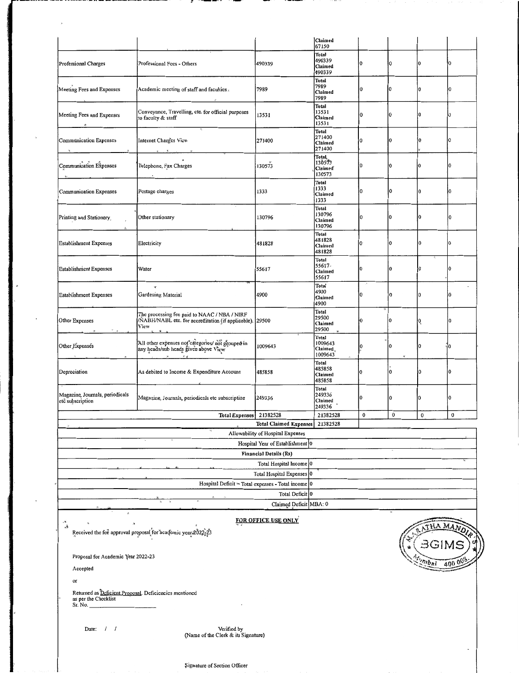|                                                                                                                       |                                                                                                                                                                                                              |                                                                    | Claimed<br>67150                            |          |          |                        |     |  |  |
|-----------------------------------------------------------------------------------------------------------------------|--------------------------------------------------------------------------------------------------------------------------------------------------------------------------------------------------------------|--------------------------------------------------------------------|---------------------------------------------|----------|----------|------------------------|-----|--|--|
| Professional Charges                                                                                                  | Professional Fees - Others                                                                                                                                                                                   | 490339                                                             | Total<br>490339<br>Claimed<br>490339        | 0        | I٥       | 0                      | 10  |  |  |
| Meeting Fees and Expenses                                                                                             | Academic meeting of staff and faculties.                                                                                                                                                                     | 7989                                                               | Total<br>7989<br>Claimed<br>7989            | 10       | 0        | 0                      | IO. |  |  |
| Meeting Fees and Expenses                                                                                             | Conveyance, Travelling, etc. for official purposes<br>to faculty & staff                                                                                                                                     | 13531                                                              | Total<br>13531<br>Claimed<br>13531          | łО       | $\bf{0}$ | 0                      | 0   |  |  |
| <b>Communication Expenses</b>                                                                                         | Internet Charges View<br>$\sim$<br>$\mathbf{v}$                                                                                                                                                              | 271400                                                             | Total<br>271400<br>Claimed<br>271400        | 0        | l0       | 0                      | 0   |  |  |
| Communication Expenses                                                                                                | Telephone, Fax Charges<br>$\ddot{\phantom{a}}$                                                                                                                                                               | 130573                                                             | Total<br>130573<br><b>Claimed</b><br>130573 | $\bf{0}$ | ł0       | 0                      | 0   |  |  |
| Communication Expenses                                                                                                | Postage charges                                                                                                                                                                                              | 1333                                                               | Total<br>1333<br>Claimed<br>1333            | 0        | l0       | 0                      | n   |  |  |
| Printing and Stationery                                                                                               | Other stationary                                                                                                                                                                                             | 130796                                                             | Total<br>130796<br>Claimed<br>130796        | I٥       | 0        | 0                      | 0   |  |  |
| <b>Establishment Expenses</b>                                                                                         | Electricity                                                                                                                                                                                                  | 481828                                                             | Total<br>481828<br>Claimed<br>481828        | 0        | 0        | $\Omega$               | 0   |  |  |
| <b>Establishment Expenses</b>                                                                                         | Water                                                                                                                                                                                                        | 55617                                                              | Total<br>55617-<br>Claimed<br>55617         | 0        | İ0       | 0                      | 0   |  |  |
| <b>Establishment Expenses</b>                                                                                         | ŵ<br>Gardening Material                                                                                                                                                                                      | 4900                                                               | Total<br>4900<br>Claimed<br>4900            | 0        | I٥       | 0                      | 0   |  |  |
| Other Expenses<br>$\sim$ $\mu$<br>$\mathcal{R}$ .                                                                     | The processing fee paid to NAAC / NBA / NIRF<br>/NABH/NABL etc. for accreditation (if applicable). 29500<br>View                                                                                             |                                                                    | Total<br>29500<br>Claimed<br>29500          | 0        | 0        | 0                      | Ω   |  |  |
| Other Expenses                                                                                                        | All other expenses not categories/ not grouped in<br>any heads/sub heads given above View<br>$\mathcal{L}_{\mathcal{L}} = \mathcal{L}_{\mathcal{L}} = \mathcal{L}_{\mathcal{L}} = \mathcal{L}_{\mathcal{L}}$ | 1009643                                                            | Total<br>1009643<br>Claimed.<br>1009643     | $\bf{0}$ | 0        | 0                      | 0   |  |  |
| Depreciation                                                                                                          | As debited to Income & Expenditure Account                                                                                                                                                                   | 485858                                                             | Total<br>485858<br>Claimed<br>485858        | 0        | 0        | 0                      | o   |  |  |
| Magazine, Journals, periodicals<br>etc subscription                                                                   | Magazine, Journals, periodicals etc subscription                                                                                                                                                             | 249336                                                             | Total<br>249336<br>Claimed<br>249336        | I٥       | 0        | l0                     | 0   |  |  |
|                                                                                                                       | Total Expenses   21382528                                                                                                                                                                                    |                                                                    | 21382528                                    | 0        | 0        | 0                      | 0   |  |  |
|                                                                                                                       |                                                                                                                                                                                                              | <b>Total Claimed Expenses</b><br>Allowability of Hospital Expenses | 21382528                                    |          |          |                        |     |  |  |
|                                                                                                                       |                                                                                                                                                                                                              | Hospital Year of Establishment 0                                   |                                             |          |          |                        |     |  |  |
|                                                                                                                       |                                                                                                                                                                                                              | <b>Financial Details (Rs)</b>                                      |                                             |          |          |                        |     |  |  |
|                                                                                                                       |                                                                                                                                                                                                              | Total Hospital Income 0                                            |                                             |          |          |                        |     |  |  |
|                                                                                                                       |                                                                                                                                                                                                              | Total Hospital Expenses 0                                          |                                             |          |          |                        |     |  |  |
|                                                                                                                       |                                                                                                                                                                                                              | Hospital Deficit = Total expenses - Total income $ 0 $             |                                             |          |          |                        |     |  |  |
|                                                                                                                       |                                                                                                                                                                                                              | Total Deficit 0                                                    |                                             |          |          |                        |     |  |  |
|                                                                                                                       |                                                                                                                                                                                                              | Claimed Deficit MBA: 0                                             |                                             |          |          |                        |     |  |  |
| <b>FOR OFFICE USE ONLY</b><br>÷×<br>AMA<br>яÀ<br>Received the fee approval proposal for academic year 2022-23<br>1 آت |                                                                                                                                                                                                              |                                                                    |                                             |          |          |                        |     |  |  |
| Proposal for Academic Year 2022-23                                                                                    |                                                                                                                                                                                                              |                                                                    |                                             |          |          | $m_{\bm{b} \bm{a}}$ ות |     |  |  |
| Accepted                                                                                                              |                                                                                                                                                                                                              |                                                                    |                                             |          |          |                        |     |  |  |
| or                                                                                                                    |                                                                                                                                                                                                              |                                                                    |                                             |          |          |                        |     |  |  |
| as per the Checklist<br>Sr. No.                                                                                       | Returned as Deficient Proposal. Deficiencies mentioned                                                                                                                                                       |                                                                    |                                             |          |          |                        |     |  |  |

Date:  $/ /$ 

Verified by<br>(Name of the Clerk & its Signature)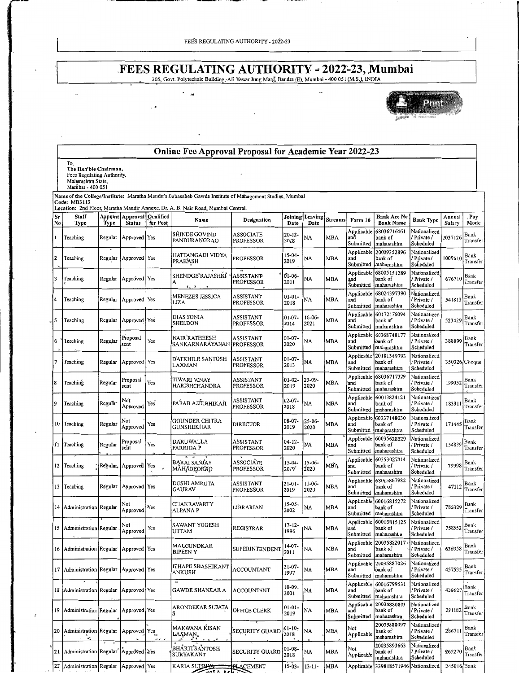$\ddot{\phantom{a}}$ 

 $\sim$ 

 $\lambda$ 

## **FEES REGULATING AUTHORITY - 2022-23, Mumbai**<br>305, Govt. Polytechnic Building, Ali Yawar Jung Marg, Bandra (E), Mumbai - 400 051 (M.S.), INDIA

 $\mathbf{y}^{(q)}$ 



|                        |                                                                                                      |         |                                       |                              | Online Fee Approval Proposal for Academic Year 2022-23                                                  |                               |                                |                         |                |                                |                                                  |                                          |                  |                         |
|------------------------|------------------------------------------------------------------------------------------------------|---------|---------------------------------------|------------------------------|---------------------------------------------------------------------------------------------------------|-------------------------------|--------------------------------|-------------------------|----------------|--------------------------------|--------------------------------------------------|------------------------------------------|------------------|-------------------------|
|                        | To,<br>The Hon'ble Chairman,<br>Fees Regulating Authority,<br>Maharashtra State,<br>Mumbai - 400 051 |         |                                       |                              |                                                                                                         |                               |                                |                         |                |                                |                                                  |                                          |                  |                         |
|                        | Code: MB3113                                                                                         |         |                                       |                              | Name of the College/Institute: Maratha Mandir's Babasaheb Gawde Institute of Management Studies, Mumbai |                               |                                |                         |                |                                |                                                  |                                          |                  |                         |
| $S_{\mathbf{F}}$<br>No | Staff<br>Type                                                                                        | Type    | Appoint   Approval  <br><b>Status</b> | <b>Qualified</b><br>for Post | Location: 2nd Floor, Maratha Mandir Annexe, Dr. A. B. Nair Road, Mumbai Central.<br>Name                | Designation                   | Date                           | Joining Leaving<br>Date | <b>Streams</b> | Form 16                        | Bank Acc No<br><b>Bank Name</b>                  | <b>Bank Type</b>                         | Annual<br>Salary | Pay<br>Mode             |
|                        | Teaching                                                                                             | Regular | Approved Yes                          |                              | SHINDE GOVIND<br>PANDURANGRAO                                                                           | ASSOCIATE<br><b>PROFESSOR</b> | 20-12-<br>2018                 | NA                      | MBA            | Applicable<br>and<br>Submitted | 68036716461<br>bank of<br>maharashtra            | Nationalized<br>Private /<br>Scheduled   | 1037126          | Bank<br>Transfer        |
| I2                     | Teaching                                                                                             |         | Regular Approved Yes                  |                              | HATTANGADI VIDYA<br>PRAKASH                                                                             | PROFESSOR                     | 15-04-<br>2019                 | NA                      | MBA            | Applicable<br>and<br>Submitted | 20009352896<br>bank of<br>maharashtra            | Nationalized<br>Private /<br>Scheduled   | 1009610          | <b>Bank</b><br>Transfer |
| 3                      | Teaching                                                                                             |         | Regular   Approved   Yes              |                              | SHENDGE RAJASHRI<br>A<br>šu ¥                                                                           | <b>ASSISTANT</b><br>PROFESSOR | 01-06-<br>2011                 | NA                      | MBA            | Applicable<br>and<br>Submitted | 68005151289<br>bank of<br>maharashtra            | Nationalized<br>Private /<br>Scheduled   | 676710           | Bank<br>Transfer        |
|                        | Teaching                                                                                             | Regular | Approved Yes                          |                              | MENEZES JESSICA<br>LIZA                                                                                 | ASSISTANT<br>PROFESSOR        | $01 - 01 -$<br>2018            | NA                      | MBA            | Applicable<br>and<br>Submitted | 68024397390<br>bank of<br>maharashtra            | Nationalized<br>Private /<br>Scheduled   | 541813           | Bank<br>Transfer        |
|                        | Teaching                                                                                             | Regular | Approved Yes                          |                              | DIAS SONIA<br>SHELDON                                                                                   | ASSISTANT<br><b>PROFESSOR</b> | $01 - 07 -$<br>2014            | $16-06-$<br>2021        | MBA            | Applicable<br>and<br>Submitted | 60172176094<br>bank of<br>maharashtra            | Nationalized<br>Private /<br>Scheduled   | 523429           | Bank<br>Transfer        |
| 6                      | Teaching                                                                                             | Regular | Proposal<br>sent                      | Yes                          | NAIR RATHEESH<br>SANKARNARAYANAN                                                                        | ASSISTANT<br>PROFESSOR        | $01 - 07 -$<br>2020            | NA                      | MBA            | Applicable<br>and<br>Submitted | 60368748177<br>bank of<br>maharashtra            | Nationalized<br>Private /<br>Scheduled   | 388899           | Bank<br>Transfer        |
|                        | Teaching                                                                                             | Regular | Approved Yes                          |                              | D'ATKHILE SANTOSH<br>LAXMAN                                                                             | ASSISTANT<br>PROFESSOR        | $01 - 07 -$<br>2013            | NA                      | MBA            | Applicable<br>and<br>Submitted | 20181349793<br>bank of<br>maharashtra            | Nationalized<br>Private /<br>Scheduled   |                  | 350326 Cheque           |
| 8                      | Teaching                                                                                             | Regular | Proposal<br>sent                      | Yes                          | TIWARI VINAY<br>HARISHCHANDRA                                                                           | ASSISTANT<br>PROFESSOR        | $01 - 02 -$<br>2019            | $23 - 09 -$<br>2020     | MBA            | Applicable<br>and<br>Submitted | 68036717329<br>bank of<br>maharashtra            | Nationalized<br>Private /<br>Scheduled   | 199052           | Bank<br>Transfer        |
| 9                      | Teaching                                                                                             | Regular | Not<br>Approved                       | Yes"                         | PARAB AJIT BHIKAJI                                                                                      | ASSISTANT<br>PROFESSOR        | $02 - 07 -$<br>2018            | NA                      | MBA            | Applicable<br>and<br>Submitted | 60013824121<br>bank of<br>maharashtra            | Nationalized<br>/ Private /<br>Scheduled | 183311           | Bank<br>Transfer        |
|                        | 10 Teaching                                                                                          | Regular | Not<br>Approved                       | Yes                          | <b>GOUNDER CHITRA</b><br>GUNSHEKHAR                                                                     | <b>DIRECTOR</b>               | 08-07-<br>2019                 | $25 - 06 -$<br>2020     | MBA            | Applicable<br>and<br>Submitted | 60337148030<br>bank of<br>maharashtra            | Nationalized<br>Private /<br>Scheduled   | 171445           | Bank<br>Transfer        |
|                        | 11 Teaching                                                                                          | Regular | Proposal<br>sent                      | Yes                          | DARUWALLA<br>FARRIDA P                                                                                  | ASSISTANT<br>PROFESSOR        | $04 - 12 -$<br>2020            | NA                      | MBA            | Applicable<br>and<br>Submitted | 60035628529<br>bank of<br>maharashtra            | Nationalized<br>Private /<br>Scheduled   | 154839           | Bank<br>Transfer        |
|                        | 12 Teaching                                                                                          |         | Regular, Approved Yes                 | $\star$                      | BARAI SANJAY<br>MAHADEORAO                                                                              | ASSOCIATE<br>PROFESSOR        | $15-04-$<br>2019               | 15-06-<br>2020          | MBA            | Applicable<br>and<br>Submitted | 60353027014<br>bank of<br>maharashtra            | Nationalized<br>Private /<br>Scheduled   | 79998            | Bank<br>Transfer        |
|                        | 13 Teaching                                                                                          | Regular | Approved Yes                          |                              | DOSHI AMRUTA<br>GAURAV                                                                                  | ASSISTANT<br>PROFESSOR        | $21 - 01 -$<br>2019            | 11-06-<br>2020          | MBA            | Applicable<br>and<br>Submitted | 68015867982<br>bank of<br>maharashtra            | Nationalized<br>Private /<br>Scheduled   | 47112            | Bank<br>Transfer        |
|                        | 14   Administration   Regular                                                                        |         | Not<br>Approved                       | Yes                          | CHAKRAVARTY<br>ALPANA P                                                                                 | LIBRARIAN                     | $15 - 05 -$<br>2002            | NA                      | MBA            | Applicable<br>and<br>Submitted | 60016815272<br>bank of<br>maharashtra            | Nationalized<br>Private /<br>Scheduled   | 785329           | Bank<br>Transfer        |
|                        | 15 Administration Regular                                                                            |         | Not<br>Approved                       | Yes                          | SAWANT YOGESH<br>UTTAM                                                                                  | REGISTRAR                     | $17 - 12 -$<br>1996            | NA                      | MBA            | and<br>Submitted               | Applicable 60016815125<br>bank of<br>maharashtra | Nationalized<br>/ Private /<br>Scheduled | 758552           | Bank<br>Transfer        |
|                        | 16   Administration   Regular   Approved   Yes                                                       |         |                                       |                              | MALGUNDKAR<br><b>BIPEEN Y</b>                                                                           | SUPERINTENDENT                | $14-07-$<br>2011               | NA                      | MBA            | Applicable<br>and<br>Submitted | 20035882017<br>bank of<br>maharashtra            | Nationalized<br>Private /<br>Scheduled   | 636958           | Bank<br>Transfer        |
|                        | 17   Administration   Regular   Approved   Yes                                                       |         |                                       |                              | ITHAPE SHASHIKANT<br>ANKUSH                                                                             | ACCOUNTANT                    | $21-07-$<br>1997               | <b>NA</b>               | MBA            | Applicable<br>and<br>Submitted | 20035887026<br>bank of<br>maharashtra            | Nationalized<br>Private /<br>Scheduled   | 457535           | Bank<br>Transfer        |
|                        | 18   Administration   Regular   Approved   Yes                                                       |         |                                       |                              | <b>A</b><br>GAWDE SHANKAR A                                                                             | <b>ACCOUNTANT</b>             | 10-09-<br>2001                 | NA                      | MBA            | Applicable<br>and<br>Submitted | 60016799531<br>bank of<br>maharashtra            | Nationalized<br>Private /<br>Scheduled   | 439627           | Bank<br>Transfer        |
|                        | 19 Administration Regular                                                                            |         | Approved Yes                          |                              | ARONDEKAR SUJATA                                                                                        | OFFICE CLERK                  | $01 - 01 -$<br>2019            | NA                      | MBA            | Applicable<br>and<br>Submitted | 20035880803<br>bank of<br>maharashtra            | Nationalized<br>Private /<br>Scheduled   | 291182           | Bank<br>Transfer        |
|                        | 20 Administration Regular Approved Yes<br>$\mathbf{x}_n^t$                                           |         |                                       | et s                         | MAKWANA KISAN<br>$\text{LAX} \text{MAN}_{\mathbf{x}}$                                                   | <b>SECURITY GUARD</b>         | $01 - 10$ <sub>7</sub><br>2018 | NA                      | MBA            | Not<br>Applicable              | 20035888097<br>bank of<br>maharashtra            | Nationalized<br>Private /<br>Scheduled   | 28671            | Bank<br>Transfer        |
|                        | 21   Administration   Regular   Approved   Yes                                                       |         |                                       |                              | <b>BHÁRTI SANTOSH</b><br><b>SURYAKANT</b>                                                               | SECURITY GUARD                | 01-08-<br>2018                 | NA                      | MBA            | Not<br>Applicable              | 20035893663<br>bank of<br>maharashtra            | Nationalized<br>/ Private /<br>Scheduled | 265270           | Bank<br>Transfer        |
| 22                     | Administration Regular                                                                               |         | Approved Yes                          |                              | KARIA SUPELYA                                                                                           | <b>PLACEMENT</b>              | 15-03-                         | $13 - 11 -$             | MBA            |                                | Applicable 339818571946                          | Nationalized                             | 245016 Bank      |                         |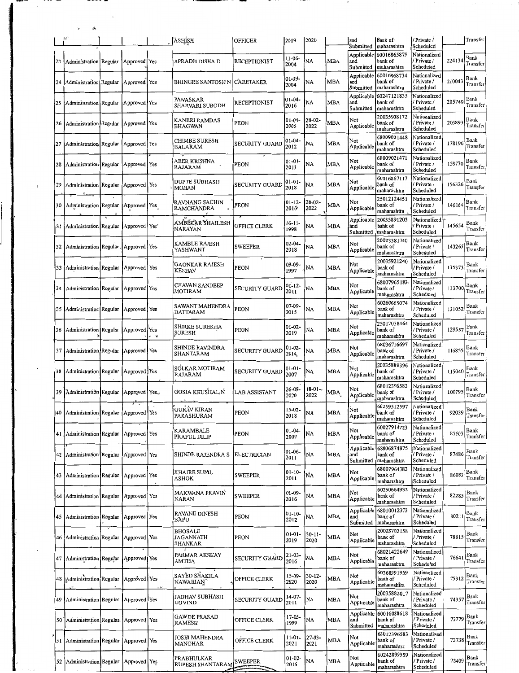|    |                                                |                |     | ASHISH                                     | <b>OFFICER</b>        | 2019                | 2020                |            | and<br>Submitted               | bank of<br>maharashtra                | / Private /<br>Scheduled                 |        | Transfer         |
|----|------------------------------------------------|----------------|-----|--------------------------------------------|-----------------------|---------------------|---------------------|------------|--------------------------------|---------------------------------------|------------------------------------------|--------|------------------|
| 23 | Administration Regular                         | Approved Yes   |     | APRADH DISHA D                             | <b>RECEPTIONIST</b>   | $11 - 06 -$<br>2004 | NA                  | <b>MBA</b> | Applicable<br>and<br>Submitted | 60016865879<br>bank of<br>maharashtra | Nationalized<br>Private /<br>Scheduled   | 224134 | Bank<br>Transfer |
| 24 | Administration Regular                         | Approved Yes   |     | <b>BHINGRE SANTOSH N</b>                   | <b>CARETAKER</b>      | 01-09-<br>2004      | NA                  | MBA        | Applicable<br>and<br>Submitted | 60016868734<br>bank of<br>maharashtra | Nationalized<br>Private /<br>Scheduled   | 210043 | Bank<br>Transfeı |
| 25 | Administration Regular                         | Approved Yes   |     | PAWASKAR<br><b>SHARVARI SUBODH</b>         | <b>RECEPTIONIST</b>   | $01 - 04 -$<br>2016 | NA                  | <b>MBA</b> | Applicable<br>and<br>Submitted | 60247121835<br>bank of<br>maharashtra | Nationalized<br>Private /<br>Scheduled   | 205749 | Bank<br>Transfer |
| 26 | Administration Regular                         | Approved Yes   |     | KANERI RAMDAS<br>BHAGWAN                   | <b>PEON</b>           | $01 - 04 -$<br>2005 | $28-02-$<br>2022    | MBA        | Not<br>Applicable              | 20035908172<br>bank of<br>maharashtra | Nationalized<br>Private /<br>Scheduled   | 203893 | Bank<br>Transfer |
| 27 | Administration Regular Approved Yes            |                |     | CHIMBE SURESH<br>BALARAM                   | SECURITY GUARD        | 01-04-<br>2012      | NA                  | MBA        | Not<br>Applicable              | 68009021448<br>bank of<br>maharashtra | Nationalized<br>Private /<br>Scheduled   | 178196 | Bank<br>Transfer |
| 28 | Administration Regular                         | Approved Yes   |     | AEER KRISHNA<br>RAJARAM                    | PEON                  | $01 - 01 -$<br>2013 | NA                  | <b>MBA</b> | Not<br>Applicable              | 6800902147<br>bank of<br>maharashtra  | Nationalized<br>Private /<br>Scheduled   | 159770 | Bank<br>Transfer |
| 29 | Administration Regular                         | Approved   Yes |     | DUPTE SUBHASH<br>MOHAN                     | <b>SECURITY GUARD</b> | 01-01-<br>2018      | NA                  | <b>MBA</b> | Not<br>Applicable              | 60016867117<br>bank of<br>maharashtra | Nationalized<br>Private /<br>Scheduled   | 156326 | Bank<br>Transfer |
| 30 | Administration Regular                         | Approved   Yes |     | RAVNANG SACHIN<br>RAMCHANDRA<br>$\epsilon$ | PEON                  | $01 - 12 -$<br>2016 | 28-02-<br>2022      | MBA        | Not<br>Applicable              | 2501212445<br>bank of<br>maharashtra  | Nationalized<br>Private /<br>Scheduled   | 146164 | Bank<br>Transfer |
| 31 | Administration Regular                         | Approved Yes"  |     | AMBEKAR SHAILESH<br>NARAYAN                | OFFICE CLERK          | 16-11-<br>1998      | NA                  | <b>MBA</b> | Applicable<br>and<br>Submitted | 20035891203<br>bank of<br>maharashtra | Nationalized<br>/ Private /<br>Scheduled | 145654 | Bank<br>Transfer |
| 32 | Administration Regular . Approved Yes          |                |     | KAMBLE RAJESH<br>YASHWANT                  | <b>SWEEPER</b>        | $02 - 04 -$<br>2018 | NA                  | MBA        | Not<br>Applicable              | 20023381740<br>bank of<br>maharashtra | Nationalized<br>Private /<br>Scheduled   | 143265 | Bank<br>Transfer |
| 33 | Administration Regular Approved Yes            |                |     | <b>GAONKAR RAJESH</b><br>KESHAV            | PEON                  | 09-09-<br>1997      | NA                  | <b>MBA</b> | Not<br>Applicabl               | 20035921240<br>bank of<br>maharashtra | Nationalized<br>Private /<br>Scheduled   | 135373 | Bank<br>Transfer |
| 34 | Administration Regular Approved Yes            |                |     | CHAVAN SANDEEP<br>MOTIRAM                  | SECURITY GUARD        | $01 - 12 -$<br>2011 | NA                  | <b>MBA</b> | Not<br>Applicable              | 68007965183<br>bank of<br>maharashtra | Nationalized<br>Private /<br>Scheduled   | 133700 | Bank<br>Transfer |
| 35 | Administration Regular                         | Approved Yes   |     | SAWANT MAHENDRA<br>DATTARAM                | PEON                  | $07 - 09 -$<br>2015 | NA                  | MBA        | Not<br>Applicable              | 60260665074<br>bank of<br>maharashtra | Nationalized<br>Private /<br>Scheduled   | 131052 | Bank<br>Transfer |
| 36 | Administration Regular                         | Approved Yes   | א ע | <b>SHIRKE SUREKHA</b><br><b>SURESH</b>     | PEON                  | $01 - 02 -$<br>2019 | NA                  | <b>MBA</b> | Not<br>Applicable              | 25017038464<br>bank of<br>maharashtra | Nationalized<br>Private /<br>Scheduled   | 129557 | Bank<br>Transfer |
| 37 | Administration Regular                         | Approved Yes   |     | SHINDE RAVINDRA<br>SHANTARAM               | SECURITY GUARD        | $01 - 02 -$<br>2014 | NA                  | MBA        | Not<br>Applicable              | 68036716697<br>bank of<br>maharashtra | Nationalized<br>Private /<br>Scheduled   | 116855 | Bank<br>Transfer |
| 38 | Administration Regular                         | Approved Yes   |     | SOLKAR MOTIRAM<br>RAJARAM                  | SECURITY GUARD        | $01 - 01 -$<br>2007 | NA                  | MBA        | Not<br>Applicable              | 20035889396<br>bank of<br>maharashtra | Nationalized<br>Private /<br>Scheduled   | 115040 | Bank<br>Transfer |
| 39 | Administratiðn Regular                         | Approved   Yes |     | GOSIA KHUSHAL N                            | LAB ASSISTANT         | $26 - 08 -$<br>2020 | $18-01-$<br>2022    | MBA        | Not<br>Applicable              | 68012396583<br>bank of<br>maharashtra | Nationalized<br>/ Private /<br>Scheduled | 100795 | Bank<br>Transfer |
|    | 40 Administration Regular Approved Yes         |                |     | GURÁV KIRAN<br>PARASHURAM                  | PEON                  | 15-02-<br>2018      | NA                  | <b>MBA</b> | Not<br>Applicable              | 60259512597<br>bank of<br>maharashtra | Nationalized<br>Private /<br>Scheduled   | 92039  | Bank<br>Transfer |
|    | 41 Administration Regular Approved Yes         |                |     | KARAMBALE<br>PRAFUL DILIP                  | PEON                  | $01 - 04 -$<br>2009 | NA                  | <b>MBA</b> | Not<br>Applicable              | 60027914723<br>bank of<br>maharashtra | Nationalized<br>Private /<br>Scheduled   | 87603  | Bank<br>Transfer |
|    | 42 Administration Regular                      | Approved Yes   |     | SHINDE RAJENDRA S                          | ELECTRICIAN           | $01 - 06 -$<br>2011 | NA                  | MBA        | Applicable<br>and<br>Submitted | 68006874875<br>bank of<br>maharashtra | Nationalized<br>Private /<br>Scheduled   | 87486  | Bank<br>Transfer |
|    | 43   Administration   Regular   Approved   Yes |                |     | KHAIRE SUNIL<br>ASHOK                      | <b>SWEEPER</b>        | $01 - 10 -$<br>2011 | NA                  | <b>MBA</b> | Not<br>Applicable              | 68007964383<br>bank of<br>maharashtra | Nationalized<br>Private /<br>Scheduled   | 86083  | Bank<br>Transfer |
|    | 44   Administration   Regular   Approved   Yes |                |     | MAKWANA PRAVIÑ<br>NARAN                    | <b>SWEEPER</b>        | 01-09-<br>2016      | NA                  | <b>MBA</b> | Not<br>Applicable              | 60260664933<br>bank of<br>maharashtra | Nationalized<br>Private /<br>Scheduled   | 82285  | Bank<br>Transfer |
|    | 45   Administration   Regular   Approved   Yes |                |     | RAVANE DINESH<br>BAPU                      | PEON                  | $01 - 10 -$<br>2012 | <b>NA</b>           | <b>MBA</b> | Applicable<br>and<br>Submitted | 68010012373<br>bank of<br>maharashtra | Nationalized<br>Private /<br>Scheduled   | 80211  | Bank<br>Transfer |
|    | 46 Administration Regular Approved Yes         |                |     | <b>BHOSALE</b><br>JAGANNATH<br>SHANKAR     | PEON                  | $01 - 01 -$<br>2019 | 30-11-<br>2020      | MBA        | Not<br>Applicable              | 20028702158<br>bank of<br>maharashtra | Nationalized<br>Private /<br>Scheduled   | 78815  | Bank<br>Transfer |
| 47 | Administration Regular Approved Yes            |                |     | PARMAR AKSHAY<br>AMTHA                     | <b>SECURITY GUARD</b> | 21-03-<br>2016      | <b>NA</b>           | <b>MBA</b> | Not<br>Applicable              | 68021422649<br>bank of<br>maharashtra | Nationalized<br>Private /<br>Scheduled   | 76641  | Bank<br>Transfer |
|    | 48 Administration Regular                      | Approved Yes   |     | SAYED SHAKILA<br>NAWABJAN"                 | OFFICE CLERK          | 15-09-<br>2020      | $30 - 12 -$<br>2020 | <b>MBA</b> | Not<br>Applicable              | 60368991959<br>bank of<br>maharashtra | Nationalized<br>Private /<br>Scheduled   | 75312  | Bank<br>Transfer |
|    | 49 Administration Regular Approved Yes         |                |     | JADHAV SUBHASH<br>GOVIND                   | SECURITY GUARD        | 14-07-<br>2011      | <b>NA</b>           | MBA        | Not<br>Applicable              | 20035882017<br>bank of<br>maharashtra | Nationalized<br>Private /<br>Scheduled   | 74357  | Bank<br>Transfer |
|    | 50 Administration Regular Approved Yes         |                |     | <b>GAWDE PRASAD</b><br>RAMESH              | OFFICE CLERK          | $17 - 05 -$<br>1999 | NA                  | <b>MBA</b> | Applicable<br>and<br>Submitted | 60016088618<br>bank of<br>maharashtra | Nationalized<br>Private /<br>Scheduled   | 73779  | Bank<br>Transfer |
|    | 51 Administration Regular                      | Approved Yes   |     | JOSHI MAHENDRA<br>MANOHAR                  | OFFICE CLERK          | $11 - 01 -$<br>2021 | $27-03-$<br>2021    | <b>MBA</b> | Not<br>Applicable              | 68012396583<br>bank of<br>maharashtra | Nationalized<br>Private /<br>Scheduled   | 73738  | Bank<br>Transfer |
|    | 52 Administration Regular                      | Approved Yes   |     | PRABHULKAR<br>RUPESH SHANTARAM             | <b>SWEEPER</b>        | $01 - 02 -$<br>2016 | NA                  | MBA        | Not<br>Applicable              | 60242899559<br>bank of<br>maharashtra | Nationalized<br>Private /<br>Scheduled   | 73409  | Bank<br>Transfer |